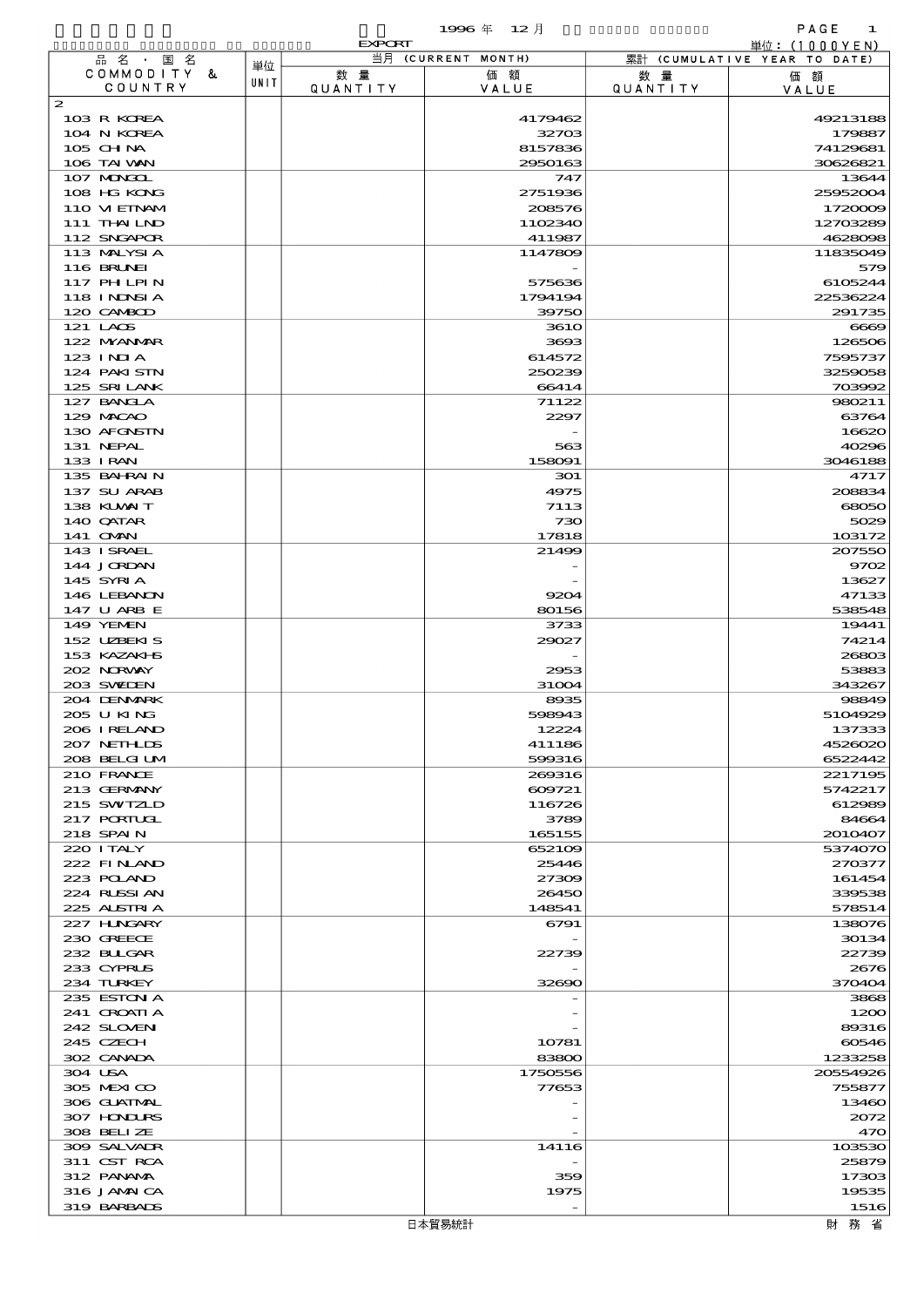$1996 \nless 12 \nless 12$ 

|                             |      | <b>EXPORT</b>         |                      |                        | 単位: $(1000YEN)$              |
|-----------------------------|------|-----------------------|----------------------|------------------------|------------------------------|
| 品名・国名<br>COMMODITY &        | 単位   |                       | 当月 (CURRENT MONTH)   |                        | 累計 (CUMULATIVE YEAR TO DATE) |
| COUNTRY                     | UNIT | 数量<br><b>QUANTITY</b> | 価額<br>VALUE          | 数 量<br><b>QUANTITY</b> | 価額<br>VALUE                  |
| $\boldsymbol{z}$            |      |                       |                      |                        |                              |
| 103 R KOREA                 |      |                       | 4179462              |                        | 49213188                     |
| 104 N KOREA<br>105 CH NA    |      |                       | 32703<br>8157836     |                        | 179887<br>74129681           |
| 106 TAI VAN                 |      |                       | 2950163              |                        | 30626821                     |
| 107 MARGL                   |      |                       | 747                  |                        | 13644                        |
| 108 HG KONG                 |      |                       | 2751936              |                        | 25952004                     |
| 110 VIEINAM                 |      |                       | 208576               |                        | 1720009                      |
| 111 THAILND<br>112 SNGAPOR  |      |                       | 1102340<br>411987    |                        | 12703289<br>4628098          |
| 113 MALYSIA                 |      |                       | 1147809              |                        | 11835049                     |
| 116 BRUNEI                  |      |                       |                      |                        | 579                          |
| 117 PH LPIN                 |      |                       | 575636               |                        | 6105244                      |
| 118 INDSIA                  |      |                       | 1794194              |                        | 22536224                     |
| 120 CAMBOD<br>121 LACS      |      |                       | 39750<br><b>3610</b> |                        | 291735<br>6669               |
| 122 MYANMAR                 |      |                       | 3693                 |                        | 126506                       |
| $123$ INIA                  |      |                       | 614572               |                        | 7595737                      |
| 124 PAKISTN                 |      |                       | 250239               |                        | 3259058                      |
| 125 SRILANK                 |      |                       | 66414                |                        | 703992                       |
| 127 BANCLA<br>129 MACAO     |      |                       | 71122<br>2297        |                        | 980211<br>63764              |
| 130 AFGNSTN                 |      |                       |                      |                        | 16620                        |
| 131 NEPAL                   |      |                       | 563                  |                        | 40296                        |
| 133 I RAN                   |      |                       | 158091               |                        | 3046188                      |
| 135 BAHRAIN                 |      |                       | 301                  |                        | 4717                         |
| 137 SU ARAB<br>138 KLVXIT   |      |                       | 4975<br>7113         |                        | 208834<br>68050              |
| 140 QATAR                   |      |                       | 730                  |                        | 5029                         |
| 141 <b>OMN</b>              |      |                       | 17818                |                        | 103172                       |
| 143 I SRAEL                 |      |                       | 21499                |                        | 207550                       |
| 144 JORDAN<br>145 SYRIA     |      |                       |                      |                        | 9702<br>13627                |
| 146 LEBANON                 |      |                       | 9204                 |                        | 47133                        |
| 147 U ARB E                 |      |                       | 80156                |                        | 538548                       |
| 149 YEMEN                   |      |                       | 3733                 |                        | 19441                        |
| 152 UBEKIS                  |      |                       | 29027                |                        | 74214                        |
| 153 KAZAKI B<br>202 NORWAY  |      |                       | 2953                 |                        | 26803<br>53883               |
| 203 SWIDEN                  |      |                       | 31004                |                        | 343267                       |
| 204 DENMARK                 |      |                       | 8935                 |                        | 98849                        |
| 205 U KING                  |      |                       | 598943               |                        | 5104929                      |
| 206 I RELAND                |      |                       | 12224                |                        | 137333<br>4526020            |
| 207 NETHLIS<br>208 BELGI UM |      |                       | 411186<br>599316     |                        | 6522442                      |
| 210 FRANCE                  |      |                       | 269316               |                        | 2217195                      |
| 213 GERMANY                 |      |                       | 609721               |                        | 5742217                      |
| 215 SWIZLD                  |      |                       | 116726               |                        | 612989                       |
| 217 PORTUGL<br>218 SPAIN    |      |                       | 3789<br>165155       |                        | 84664<br>2010407             |
| 220 I TALY                  |      |                       | 652109               |                        | 5374070                      |
| 222 FINLAND                 |      |                       | 25446                |                        | 270377                       |
| 223 POLAND                  |      |                       | 27309                |                        | 161454                       |
| 224 RUSSI AN<br>225 ALSTRIA |      |                       | 26450<br>148541      |                        | 339538<br>578514             |
| 227 HUNGARY                 |      |                       | 6791                 |                        | 138076                       |
| 230 GREECE                  |      |                       |                      |                        | 30134                        |
| 232 BULGAR                  |      |                       | 22739                |                        | 22739                        |
| 233 CYPRUS                  |      |                       |                      |                        | 2676                         |
| 234 TURKEY<br>235 ESTON A   |      |                       | 32690                |                        | 370404<br>3868               |
| 241 CROATIA                 |      |                       |                      |                        | 1200                         |
| 242 SLOVEN                  |      |                       |                      |                        | 89316                        |
| 245 CZECH                   |      |                       | 10781                |                        | 60546                        |
| 302 CANADA<br>304 USA       |      |                       | 83800<br>1750556     |                        | 1233258<br>20554926          |
| 305 MEXICO                  |      |                       | 77653                |                        | 755877                       |
| 306 GUATMAL                 |      |                       |                      |                        | 13460                        |
| 307 HONDURS                 |      |                       |                      |                        | 2072                         |
| 308 BELIZE                  |      |                       |                      |                        | 470                          |
| 309 SALVADR<br>311 CST RCA  |      |                       | 14116                |                        | 103530<br>25879              |
| 312 PANAMA                  |      |                       | 359                  |                        | 17303                        |
| 316 JAMAICA                 |      |                       | 1975                 |                        | 19535                        |
| 319 BARBADS                 |      |                       |                      |                        | 1516                         |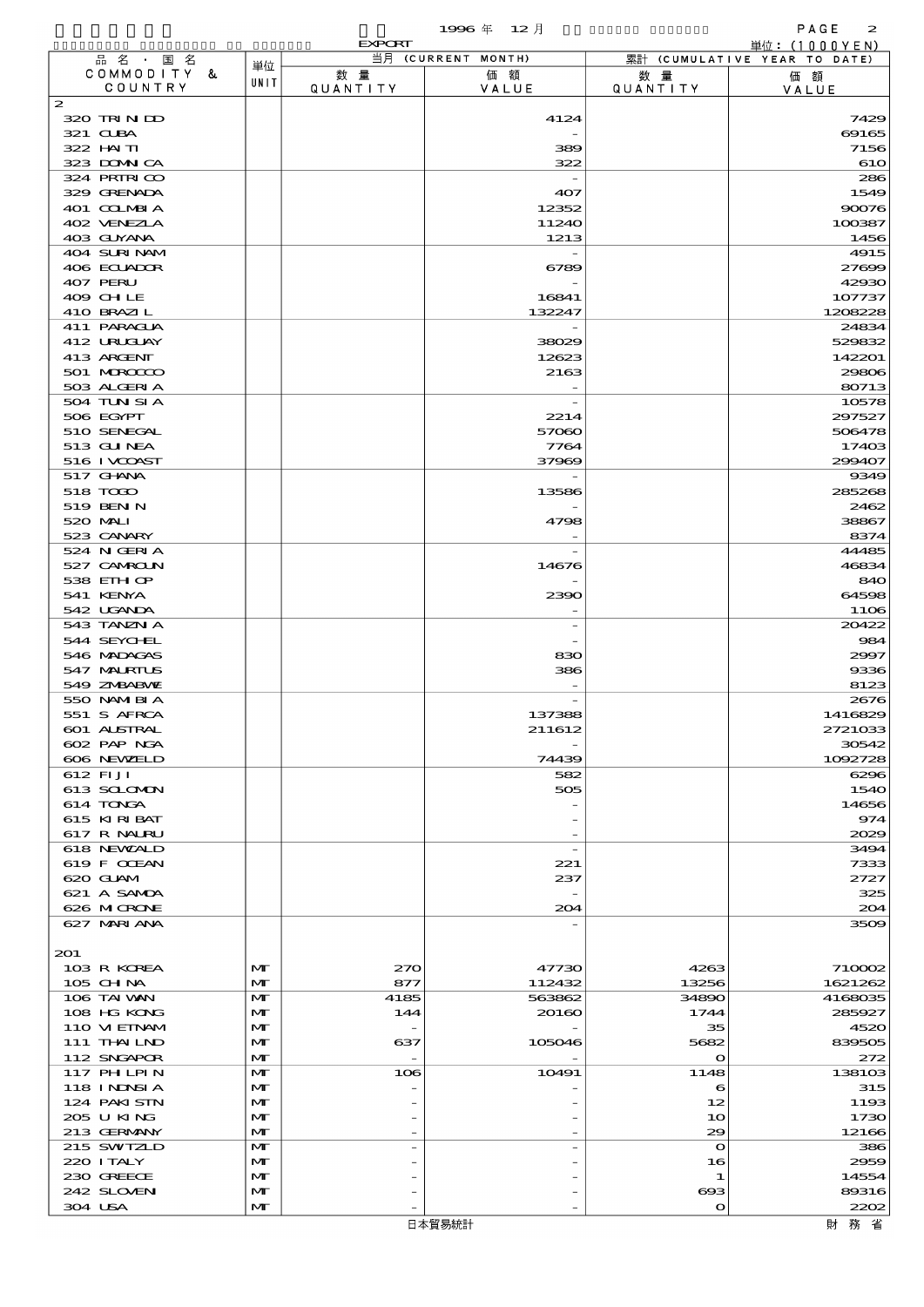概況品別国別表 輸 出 1996 12 確定 (Fixed Annual) 2

|                             |                              | <b>EXPORT</b>  | $\sim$<br>$\sim$         |                       | 単位: (1000 Y E N )            |
|-----------------------------|------------------------------|----------------|--------------------------|-----------------------|------------------------------|
| 品名・国名                       | 単位                           |                | 当月 (CURRENT MONTH)       |                       | 累計 (CUMULATIVE YEAR TO DATE) |
| COMMODITY &<br>COUNTRY      | UNIT                         | 数量<br>QUANTITY | 価額<br>VALUE              | 数量<br><b>QUANTITY</b> | 価額                           |
| $\boldsymbol{z}$            |                              |                |                          |                       | VALUE                        |
| 320 TRINDO                  |                              |                | 4124                     |                       | 7429                         |
| 321 CLBA                    |                              |                |                          |                       | 69165                        |
| 322 HAITI                   |                              |                | 389                      |                       | 7156                         |
| 323 DOMNICA                 |                              |                | 322                      |                       | 610                          |
| 324 PRIRICO<br>329 GRENADA  |                              |                | 407                      |                       | 286<br>1549                  |
| 401 COLMBIA                 |                              |                | 12352                    |                       | 90076                        |
| 402 VENEZIA                 |                              |                | 11240                    |                       | 100387                       |
| 403 GUYANA                  |                              |                | 1213                     |                       | 1456                         |
| 404 SURINAM                 |                              |                |                          |                       | 4915                         |
| 406 ECUADOR                 |                              |                | 6789                     |                       | 27699                        |
| 407 PERU<br>409 CHLE        |                              |                | 16841                    |                       | 42930<br>107737              |
| 410 BRAZIL                  |                              |                | 132247                   |                       | 1208228                      |
| 411 PARAGUA                 |                              |                |                          |                       | 24834                        |
| 412 URUGUAY                 |                              |                | 38029                    |                       | 529832                       |
| 413 ARGENT                  |                              |                | 12623                    |                       | 142201                       |
| 501 MROCCO                  |                              |                | 2163                     |                       | 29806                        |
| 503 ALGERIA<br>504 TUN SI A |                              |                |                          |                       | 80713<br>10578               |
| 506 EGYPT                   |                              |                | 2214                     |                       | 297527                       |
| 510 SENEGAL                 |                              |                | 57060                    |                       | 506478                       |
| 513 GUNEA                   |                              |                | 7764                     |                       | 17403                        |
| 516 I VCOAST                |                              |                | 37969                    |                       | 299407                       |
| 517 GHNA                    |                              |                |                          |                       | 9349                         |
| 518 TOOO<br>519 BENN        |                              |                | 13586                    |                       | 285268<br>2462               |
| 520 MAI                     |                              |                | 4798                     |                       | 38867                        |
| 523 CANARY                  |                              |                |                          |                       | 8374                         |
| 524 N GERIA                 |                              |                |                          |                       | 44485                        |
| 527 CAMROLN                 |                              |                | 14676                    |                       | 46834                        |
| 538 EIHOP                   |                              |                |                          |                       | 840                          |
| 541 KENYA<br>542 UGANDA     |                              |                | 2390                     |                       | 64598<br>11O <sub>6</sub>    |
| 543 TANZN A                 |                              |                |                          |                       | 20422                        |
| 544 SEYCHEL                 |                              |                |                          |                       | 984                          |
| 546 MADAGAS                 |                              |                | 830                      |                       | 2997                         |
| 547 MALRIUS                 |                              |                | 386                      |                       | 9336                         |
| 549 ZNBABVE                 |                              |                |                          |                       | 8123                         |
| 550 NAMERIA<br>551 S AFRCA  |                              |                |                          |                       | 2676<br>1416829              |
| 601 ALSTRAL                 |                              |                | 137388<br>211612         |                       | 2721033                      |
| 602 PAP NGA                 |                              |                |                          |                       | 30542                        |
| 606 NEWELD                  |                              |                | 74439                    |                       | 1092728                      |
| 612 FIJI                    |                              |                | 582                      |                       | 6296                         |
| 613 SCLOMON                 |                              |                | 505                      |                       | 1540                         |
| 614 TONGA<br>615 KIRIBAT    |                              |                |                          |                       | 14656<br>974                 |
| 617 R NALRU                 |                              |                |                          |                       | 2029                         |
| 618 NEWALD                  |                              |                |                          |                       | 3494                         |
| 619 F CCEAN                 |                              |                | 221                      |                       | 7333                         |
| 620 GLAM                    |                              |                | 237                      |                       | 2727                         |
| 621 A SAMDA                 |                              |                |                          |                       | 325                          |
| 626 MICRONE<br>627 MARI ANA |                              |                | 204                      |                       | 204<br>3509                  |
|                             |                              |                |                          |                       |                              |
| 201                         |                              |                |                          |                       |                              |
| 103 R KOREA                 | M                            | 270            | 47730                    | 4263                  | 710002                       |
| 105 CH NA                   | $\mathbf{M}$                 | 877            | 112432                   | 13256                 | 1621262                      |
| 106 TAI VAN                 | $\mathbf{M}$                 | 4185           | 563862                   | 34890                 | 4168035                      |
| 108 HG KONG<br>110 VIEINAM  | M<br>$\mathbf{M}$            | 144            | 20160                    | 1744<br>35            | 285927<br>4520               |
| 111 THAILND                 | M                            | 637            | 105046                   | 5682                  | 839505                       |
| 112 SNGAPOR                 | $\mathbf{M}$                 |                |                          | $\Omega$              | 272                          |
| 117 PH LPIN                 | $\mathbf{M}$                 | 106            | 10491                    | 1148                  | 138103                       |
| 118 I NJNSI A               | M                            |                |                          | 6                     | 315                          |
| 124 PAKISTN                 | $\mathbf{M}$                 |                |                          | 12                    | 1193                         |
| 205 U KING                  | M                            |                |                          | 10                    | 1730                         |
| 213 GERMANY<br>215 SWIZLD   | $\mathbf{M}$<br>$\mathbf{M}$ |                | $\overline{\phantom{0}}$ | 29<br>$\bullet$       | 12166<br>386                 |
| 220 I TALY                  | M                            |                |                          | 16                    | 2959                         |
| 230 GREECE                  | $\mathbf{M}$                 |                |                          | 1                     | 14554                        |
| 242 SLOVEN                  | M                            |                |                          | ങ്ങ                   | 89316                        |
| 304 USA                     | M                            |                |                          | $\mathbf{o}$          | 2202                         |

財務省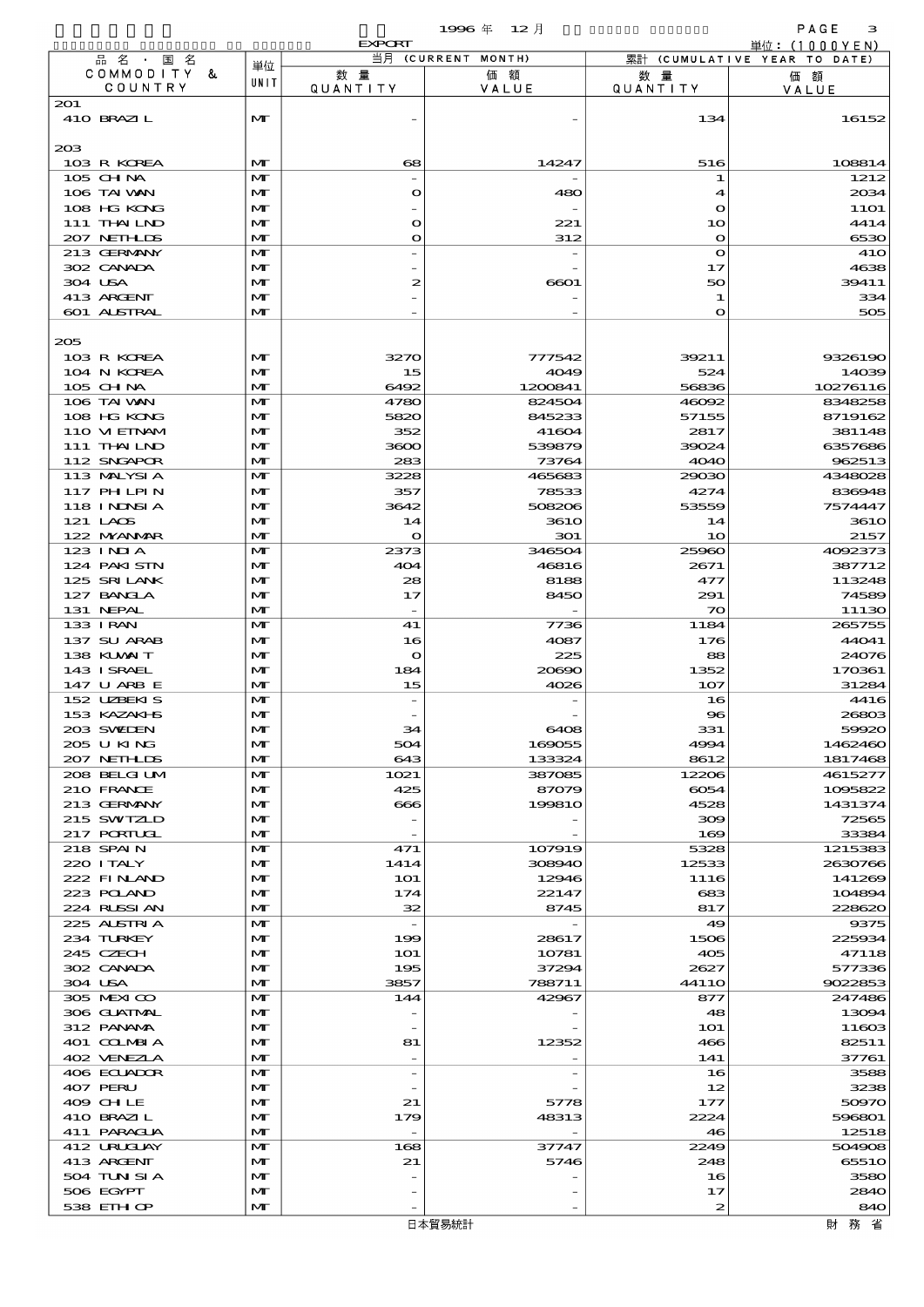$1996 \ncong 12 \nparallel$  PAGE 3

|                             |                              | <b>EXPORT</b>                   |                    |                      | 単位:(1000YEN)                 |
|-----------------------------|------------------------------|---------------------------------|--------------------|----------------------|------------------------------|
| 品名・国名                       | 単位                           |                                 | 当月 (CURRENT MONTH) |                      | 累計 (CUMULATIVE YEAR TO DATE) |
| COMMODITY &<br>COUNTRY      | UNIT                         | 数量<br>QUANTITY                  | 価額<br>VALUE        | 数 量<br>QUANTITY      | 価額<br>VALUE                  |
| 201                         |                              |                                 |                    |                      |                              |
| 410 BRAZIL                  | $\mathbf{M}$                 |                                 |                    | 134                  | 16152                        |
|                             |                              |                                 |                    |                      |                              |
| 203                         |                              |                                 |                    |                      |                              |
| 103 R KOREA<br>105 CHNA     | M<br>$\mathbf{M}$            | $\infty$                        | 14247              | 516<br>1             | 108814<br>1212               |
| 106 TAI VAN                 | M                            | $\mathbf o$                     | 480                | 4                    | 2034                         |
| 108 HG KONG                 | M                            |                                 |                    | $\mathbf o$          | <b>11O1</b>                  |
| 111 THAILND                 | M                            | O                               | 221                | 10                   | 4414                         |
| 207 NETHLIS                 | $\mathbf{M}$                 | $\mathbf{o}$                    | 312                | $\bullet$            | 6530                         |
| 213 GERMANY<br>302 CANADA   | $\mathbf{M}$<br>M            |                                 |                    | $\mathbf o$<br>17    | 41O<br>4638                  |
| 304 USA                     | M                            | 2                               | 6601               | 50                   | 39411                        |
| 413 ARCENT                  | M                            |                                 |                    | 1                    | 334                          |
| 601 ALSTRAL                 | M                            |                                 |                    | $\bullet$            | 505                          |
|                             |                              |                                 |                    |                      |                              |
| 205                         |                              |                                 |                    |                      |                              |
| 103 R KOREA<br>104 N KOREA  | M<br>M                       | 3270<br>15                      | 777542<br>4049     | 39211<br>524         | 9326190<br>14039             |
| $105$ CHNA                  | $\mathbf{M}$                 | 6492                            | 1200841            | 56836                | 10276116                     |
| 106 TAI VAN                 | $\mathbf{M}$                 | 4780                            | 824504             | 46092                | 8348258                      |
| 108 HG KONG                 | M                            | 5820                            | 845233             | 57155                | 8719162                      |
| 110 VIEINAM                 | M                            | 352                             | 41604              | 2817                 | 381148                       |
| 111 THAILND<br>112 SNGAPOR  | M<br>$\mathbf{M}$            | 3600<br>283                     | 539879<br>73764    | 39024<br><b>4040</b> | 6357686<br>962513            |
| 113 MALYSIA                 | $\mathbf{M}$                 | 3228                            | 465683             | 29030                | 4348028                      |
| 117 PH LPIN                 | $\mathbf{M}$                 | 357                             | 78533              | 4274                 | 836948                       |
| 118 INNSI A                 | M                            | 3642                            | 508206             | 53559                | 7574447                      |
| 121 LACS                    | M                            | 14                              | <b>3610</b>        | 14                   | <b>3610</b>                  |
| 122 NYANAR                  | $\mathbf{M}$                 | $\circ$                         | 301                | 10                   | 2157                         |
| 123 INIA<br>124 PAKISTN     | $\mathbf{M}$<br>$\mathbf{M}$ | 2373<br>404                     | 346504<br>46816    | 25960<br>2671        | 4092373<br>387712            |
| 125 SRILANK                 | M                            | 28                              | 8188               | 477                  | 113248                       |
| 127 BANCLA                  | M                            | 17                              | 8450               | 291                  | 74589                        |
| 131 NEPAL                   | $\mathbf{M}$                 |                                 |                    | $\infty$             | 11130                        |
| 133 I RAN                   | $\mathbf{M}$                 | 41                              | 7736               | 1184                 | 265755                       |
| 137 SU ARAB<br>138 KUWAIT   | $\mathbf{M}$<br>M            | 16<br>$\bullet$                 | 4087<br>225        | 176<br>88            | 44041<br>24076               |
| 143 ISRAEL                  | M                            | 184                             | 20690              | 1352                 | 170361                       |
| 147 U ARB E                 | M                            | 15                              | 4026               | 107                  | 31284                        |
| 152 UBENIS                  | $\mathbf{M}$                 |                                 |                    | 16                   | 4416                         |
| 153 KAZAKI S                | $\mathbf{M}$                 |                                 |                    | $\bf{S}$             | 26803                        |
| 203 SWELEN<br>205 U KING    | $\mathbf{M}$<br>M            | 34<br>504                       | 6408               | 331<br>4994          | 59920                        |
| 207 NETHLIS                 | $\mathbf{M}$                 | 643                             | 169055<br>133324   | 8612                 | 1462460<br>1817468           |
| 208 BELGI UM                | M                            | 1021                            | 387085             | 12206                | 4615277                      |
| 210 FRANCE                  | M                            | 425                             | 87079              | 6054                 | 1095822                      |
| 213 GERMANY                 | M                            | 666                             | 19981O             | 4528                 | 1431374                      |
| 215 SWIZLD<br>217 PORTUGL   | M<br>$\mathbf{M}$            |                                 |                    | 300                  | 72565                        |
| 218 SPAIN                   | M                            | 471                             | 107919             | 169<br>5328          | 33384<br>1215383             |
| 220 I TALY                  | M                            | 1414                            | 308940             | 12533                | 2630766                      |
| 222 FINAND                  | M                            | <b>1O1</b>                      | 12946              | 1116                 | 141269                       |
| 223 POLAND                  | M                            | 174                             | 22147              | 683                  | 104894                       |
| 224 RUSSI AN<br>225 ALSTRIA | $\mathbf{M}$                 | 32                              | 8745               | 817                  | 228620                       |
| 234 TURKEY                  | M<br>M                       | $\overline{\phantom{a}}$<br>199 | 28617              | 49<br>1506           | 9375<br>225934               |
| 245 CZECH                   | M                            | <b>1O1</b>                      | 10781              | 405                  | 47118                        |
| 302 CANADA                  | M                            | 195                             | 37294              | 2627                 | 577336                       |
| 304 USA                     | $\mathbf{M}$                 | 3857                            | 788711             | 4411O                | 9022853                      |
| 305 MEXICO                  | M                            | 144                             | 42967              | 877                  | 247486                       |
| 306 GUATMAL<br>312 PANAMA   | M<br>M                       |                                 |                    | 48<br><b>1O1</b>     | 13094<br>11603               |
| 401 COLMBIA                 | M                            | 81                              | 12352              | 466                  | 82511                        |
| 402 VENEZIA                 | M                            |                                 |                    | 141                  | 37761                        |
| 406 ECUADOR                 | M                            | $\overline{\phantom{a}}$        |                    | 16                   | 3588                         |
| 407 PERU                    | M                            |                                 |                    | 12                   | 3238                         |
| 409 CHLE                    | M<br>M                       | 21                              | 5778               | 177                  | 50970                        |
| 410 BRAZIL<br>411 PARAGUA   | M                            | 179                             | 48313              | 2224<br>46           | 596801<br>12518              |
| 412 URUGUAY                 | M                            | 168                             | 37747              | 2249                 | 504908                       |
| 413 ARGENT                  | M                            | 21                              | 5746               | 248                  | 65510                        |
| 504 TUN SI A                | M                            |                                 |                    | 16                   | 3580                         |
| 506 EGYPT                   | M<br>$\mathbf{M}$            |                                 |                    | 17                   | 2840<br>840                  |
| 538 EIH OP                  |                              |                                 |                    | 2                    |                              |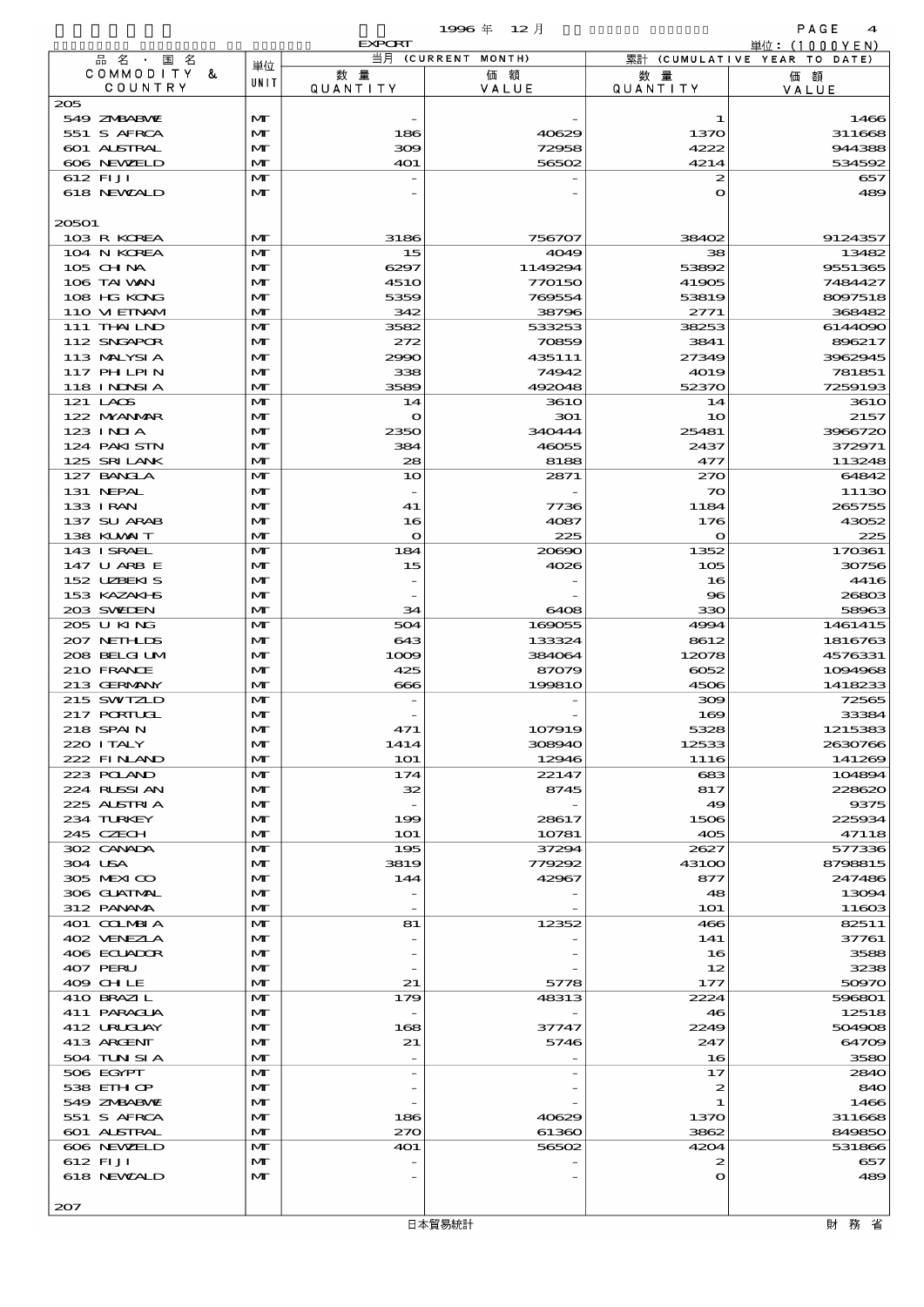|                               |                              |                              | 1996年 12月          |                               | PAGE<br>$\boldsymbol{4}$                     |
|-------------------------------|------------------------------|------------------------------|--------------------|-------------------------------|----------------------------------------------|
| 品名・国名                         |                              | <b>EXPORT</b><br>当月 (CURRENT | MONTH)             | 累計                            | 単位: $(1000YEN)$<br>(CUMULATIVE YEAR TO DATE) |
| COMMODITY<br>್ಮಿ              | 単位<br>UNIT                   | 数量                           | 価額                 | 数 量                           | 価額                                           |
| COUNTRY<br>205                |                              | QUANTITY                     | VALUE              | <b>QUANTITY</b>               | VALUE                                        |
| 549 ZNBABNE                   | $\mathbf{M}$                 |                              |                    | 1                             | 1466                                         |
| 551 S AFRCA                   | $\mathbf{M}$                 | 186                          | 40629              | 1370                          | 311668                                       |
| 601 ALSTRAL                   | $\mathbf{M}$                 | 300                          | 72958              | 4222                          | 944388                                       |
| 606 NEWELD                    | $\mathbf{M}$                 | <b>4O1</b>                   | 56502              | 4214                          | 534592                                       |
| 612 FIJI<br>618 NEWZALD       | $\mathbf{M}$<br>$\mathbf{M}$ |                              |                    | 2<br>O                        | 657<br>489                                   |
| 20501                         |                              |                              |                    |                               |                                              |
| 103 R KOREA                   | $\mathbf{M}$                 | 3186                         | 756707             | 38402                         | 9124357                                      |
| 104 N KOREA                   | $\mathbf{M}$                 | 15                           | 4049               | 38                            | 13482                                        |
| 105 CHNA<br>106 TAI WAN       | $\mathbf{M}$<br>$\mathbf{M}$ | 6297<br><b>4510</b>          | 1149294<br>770150  | 53892<br>41905                | 9551365<br>7484427                           |
| 108 HG KONG                   | $\mathbf{M}$                 | 5359                         | 769554             | 53819                         | 8097518                                      |
| 110 VIEINAM                   | $\mathbf{M}$                 | 342                          | 38796              | 2771                          | 368482                                       |
| 111 THAILND                   | $\mathbf{M}$                 | 3582                         | 533253             | 38253                         | 6144090                                      |
| 112 SNGAPOR                   | $\mathbf{M}$                 | 272                          | 70859              | 3841                          | 896217                                       |
| 113 MALYSIA                   | $\mathbf{M}$                 | 2990                         | 435111             | 27349                         | 3962945                                      |
| <b>117 PHLPIN</b>             | $\mathbf{M}$                 | 338                          | 74942              | 4019                          | 781851                                       |
| <b>118 INDSIA</b><br>121 LAOS | $\mathbf{M}$                 | 3589                         | 492048             | 52370                         | 7259193                                      |
| 122 NYANAR                    | $\mathbf{M}$<br>$\mathbf{M}$ | 14<br>$\circ$                | <b>3610</b><br>301 | 14<br>10                      | <b>3610</b><br>2157                          |
| $123$ INJA                    | $\mathbf{M}$                 | 2350                         | 340444             | 25481                         | 3966720                                      |
| 124 PAKISTN                   | $\mathbf{M}$                 | 384                          | 46055              | 2437                          | 372971                                       |
| 125 SRILANK                   | $\mathbf{M}$                 | 28                           | 8188               | 477                           | 113248                                       |
| 127 BANCLA                    | $\mathbf{M}$                 | 10                           | 2871               | 270                           | 64842                                        |
| 131 NEPAL<br>133 IRAN         | $\mathbf{M}$<br>$\mathbf{M}$ | 41                           | 7736               | $\boldsymbol{\infty}$<br>1184 | 11130<br>265755                              |
| 137 SU ARAB                   | $\mathbf{M}$                 | 16                           | 4087               | 176                           | 43052                                        |
| 138 KUWAIT                    | $\mathbf{M}$                 | $\circ$                      | 225                | $\mathbf{o}$                  | 225                                          |
| 143 ISRAEL                    | $\mathbf{M}$                 | 184                          | 20690              | 1352                          | 170361                                       |
| 147 U ARB E                   | $\mathbf{M}$                 | 15                           | 4026               | 105                           | 30756                                        |
| 152 UBERIS                    | $\mathbf{M}$                 |                              |                    | 16                            | 4416                                         |
| 153 KAZAKI S                  | $\mathbf{M}$                 |                              |                    | $\bf{8}$                      | 26803                                        |
| 203 SWEDEN<br>205 U KING      | $\mathbf{M}$<br>$\mathbf{M}$ | 34<br>504                    | 6408<br>169055     | 330<br>4994                   | 58963<br>1461415                             |
| 207 NETHLIS                   | $\mathbf{M}$                 | 643                          | 133324             | 8612                          | 1816763                                      |
| 208 BELGI UM                  | $\mathbf{M}$                 | 1009                         | 384064             | 12078                         | 4576331                                      |
| 210 FRANCE                    | $\mathbf{M}$                 | 425                          | 87079              | 6052                          | 1094968                                      |
| 213 GERMANY                   | $\mathbf{M}$                 | 666                          | 199810             | 4506                          | 1418233                                      |
| 215 SWIZLD                    | $\mathbf{M}$                 |                              |                    | 300                           | 72565                                        |
| 217 PORTUAL                   | M                            |                              |                    | 169                           | 33384                                        |
| 218 SPAIN                     | $\mathbf{M}$                 | 471                          | 107919             | 5328                          | 1215383                                      |
| 220 I TALY<br>222 FINAND      | $\mathbf{M}$<br>$\mathbf{M}$ | 1414<br><b>1O1</b>           | 308940<br>12946    | 12533<br>1116                 | 2630766<br>141269                            |
| 223 POLAND                    | $\mathbf{M}$                 | 174                          | 22147              | 683                           | 104894                                       |
| 224 RUSSI AN                  | $\mathbf{M}$                 | 32                           | 8745               | 817                           | 228620                                       |
| 225 ALSTRIA                   | $\mathbf{M}$                 |                              |                    | 49                            | 9375                                         |
| 234 TURKEY                    | $\mathbf{M}$                 | 199                          | 28617              | 1506                          | 225934                                       |
| 245 CZECH                     | $\mathbf{M}$                 | <b>1O1</b>                   | 10781              | 405                           | 47118                                        |
| 302 CANADA                    | $\mathbf{M}$                 | 195                          | 37294              | 2627                          | 577336                                       |
| 304 USA<br>305 MEXICO         | $\mathbf{M}$<br>$\mathbf{M}$ | 3819<br>144                  | 779292<br>42967    | 43100<br>877                  | 8798815<br>247486                            |
| 306 GUATMAL                   | $\mathbf{M}$                 |                              |                    | 48                            | 13094                                        |
| 312 PANAMA                    | $\mathbf{M}$                 |                              |                    | <b>1O1</b>                    | 11603                                        |
| 401 COLMBIA                   | $\mathbf{M}$                 | 81                           | 12352              | 466                           | 82511                                        |
| 402 VENEZIA                   | $\mathbf{M}$                 |                              |                    | 141                           | 37761                                        |
| 406 ECUADOR                   | $\mathbf{M}$                 |                              |                    | 16                            | 3588                                         |
| 407 PERU                      | $\mathbf{M}$                 |                              |                    | 12                            | 3238                                         |
| 409 CHLE                      | $\mathbf{M}$                 | 21                           | 5778               | 177                           | 50970                                        |
| 410 BRAZIL<br>411 PARAGUA     | $\mathbf{M}$<br>$\mathbf{M}$ | 179                          | 48313              | 2224<br>46                    | 596801<br>12518                              |
| 412 URUANY                    | $\mathbf{M}$                 | 168                          | 37747              | 2249                          | 504908                                       |
| 413 ARGENT                    | $\mathbf{M}$                 | 21                           | 5746               | 247                           | 64709                                        |
| <b>504 TUN SI A</b>           | $\mathbf{M}$                 |                              |                    | 16                            | 3580                                         |
| 506 EGYPT                     | $\mathbf{M}$                 | $\overline{\phantom{a}}$     |                    | 17                            | 2840                                         |
| 538 EIH OP                    | $\mathbf{M}$                 |                              |                    | 2                             | 840                                          |
| 549 ZNBABNE                   | $\mathbf{M}$                 |                              |                    | 1                             | 1466                                         |
| 551 S AFRCA<br>601 ALSTRAL    | $\mathbf{M}$<br>$\mathbf{M}$ | 186<br>270                   | 40629<br>61360     | 1370<br>3862                  | 311668<br>849850                             |
| 606 NEWELD                    | $\mathbf{M}$                 | 401                          | 56502              | 4204                          | 531866                                       |
| 612 FIJI                      | $\mathbf{M}$                 |                              |                    | 2                             | 657                                          |
| 618 NEWALD                    | $\mathbf{M}$                 |                              |                    | $\mathbf{\Omega}$             | 489                                          |
|                               |                              |                              |                    |                               |                                              |
| 207                           |                              |                              |                    |                               |                                              |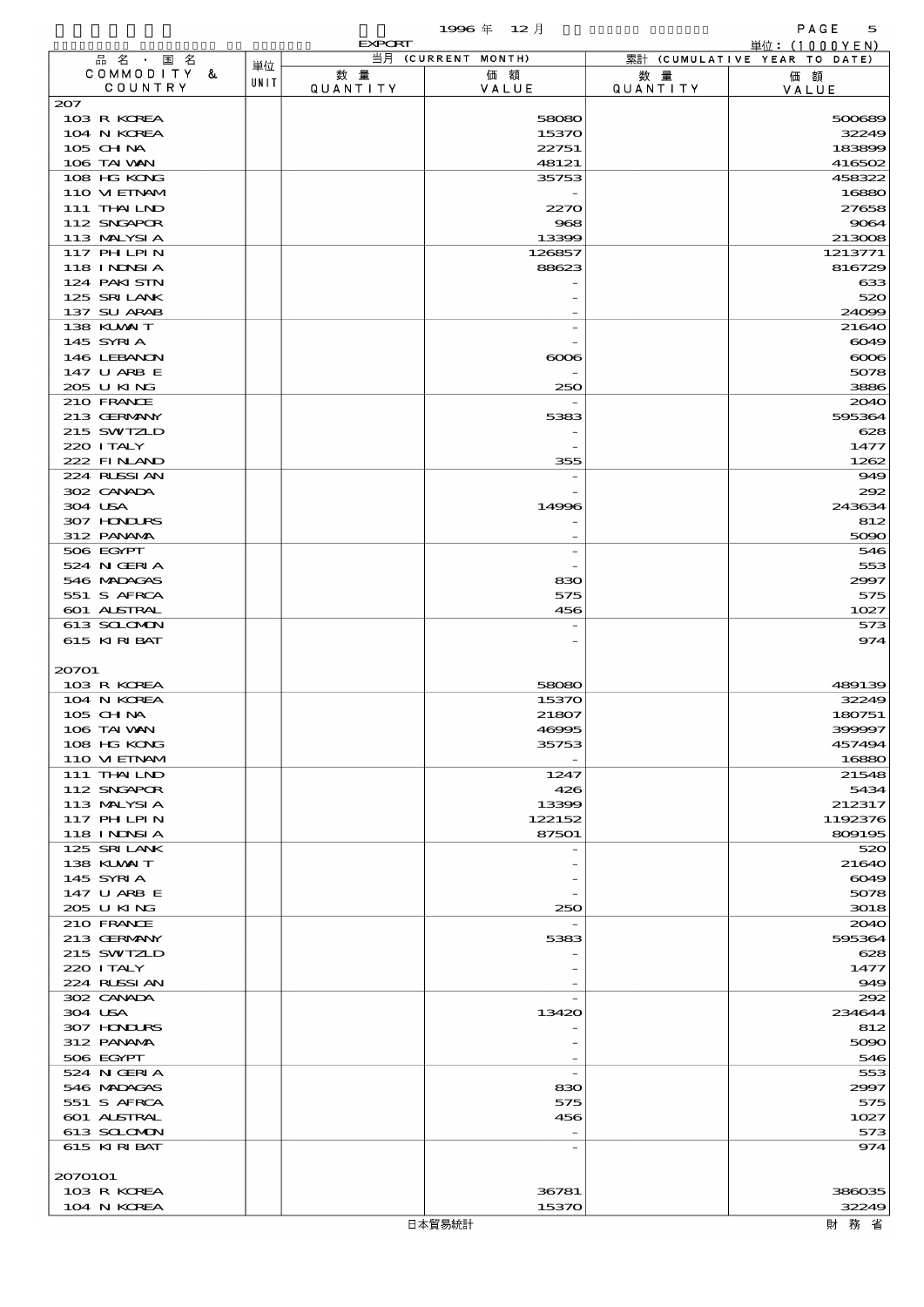|                            |      |                 | 1996年 12月          |                 | PAGE<br>5                                       |
|----------------------------|------|-----------------|--------------------|-----------------|-------------------------------------------------|
| 品名・国名                      |      | <b>EXPORT</b>   | 当月 (CURRENT MONTH) |                 | 単位: $(1000YEN)$<br>累計 (CUMULATIVE YEAR TO DATE) |
| COMMODITY &                | 単位   | 数量              | 価額                 | 数 量             | 価額                                              |
| COUNTRY                    | UNIT | <b>QUANTITY</b> | VALUE              | <b>QUANTITY</b> | VALUE                                           |
| 207                        |      |                 |                    |                 |                                                 |
| 103 R KOREA                |      |                 | 58080              |                 | 500689                                          |
| 104 N KOREA                |      |                 | 15370              |                 | 32249                                           |
| 105 CH NA<br>106 TAI VAN   |      |                 | 22751<br>48121     |                 | 183899<br>416502                                |
| 108 HG KONG                |      |                 | 35753              |                 | 458322                                          |
| 110 VIEINAM                |      |                 |                    |                 | 16880                                           |
| 111 THAILND                |      |                 | 2270               |                 | 27658                                           |
| 112 SNGAPOR                |      |                 | 968                |                 | 9064                                            |
| 113 MALYSIA                |      |                 | 13399              |                 | 213008                                          |
| 117 PH LPIN                |      |                 | 126857             |                 | 1213771                                         |
| 118 I NJNSI A              |      |                 | 88623              |                 | 816729                                          |
| 124 PAKISTN<br>125 SRILANK |      |                 |                    |                 | 633<br>520                                      |
| 137 SU ARAB                |      |                 |                    |                 | 24099                                           |
| 138 KUWAIT                 |      |                 |                    |                 | 21640                                           |
| 145 SYRIA                  |      |                 |                    |                 | 6049                                            |
| 146 LEBANON                |      |                 | $\infty$           |                 | 6006                                            |
| 147 U ARB E                |      |                 |                    |                 | 5078                                            |
| 205 U KING                 |      |                 | 250                |                 | 3886                                            |
| 210 FRANCE<br>213 GERMANY  |      |                 | 5383               |                 | 2040<br>595364                                  |
| 215 SWIZLD                 |      |                 |                    |                 | 628                                             |
| 220 I TALY                 |      |                 |                    |                 | 1477                                            |
| 222 FINAND                 |      |                 | 355                |                 | 1262                                            |
| 224 RUSSI AN               |      |                 |                    |                 | 949                                             |
| 302 CANADA                 |      |                 |                    |                 | 292                                             |
| 304 USA                    |      |                 | 14996              |                 | 243634                                          |
| 307 HONDURS<br>312 PANAMA  |      |                 |                    |                 | 812<br>5090                                     |
| 506 EGYPT                  |      |                 |                    |                 | 546                                             |
| 524 N GERIA                |      |                 |                    |                 | 553                                             |
| 546 MADAGAS                |      |                 | 830                |                 | 2997                                            |
| 551 S AFRCA                |      |                 | 575                |                 | 575                                             |
| 601 ALSTRAL                |      |                 | 456                |                 | 1027                                            |
| 613 SCLOMON                |      |                 |                    |                 | 573                                             |
| 615 KIRIBAT                |      |                 |                    |                 | 974                                             |
| 20701                      |      |                 |                    |                 |                                                 |
| 103 R KOREA                |      |                 | 58080              |                 | 489139                                          |
| 104 N KOREA                |      |                 | 15370              |                 | 32249                                           |
| 105 CHNA                   |      |                 | 21807              |                 | 180751                                          |
| 106 TAI WAN                |      |                 | 46995              |                 | 399997                                          |
| 108 HG KONG                |      |                 | 35753              |                 | 457494                                          |
| 110 VIEINAM                |      |                 | 1247               |                 | 16880<br>21548                                  |
| 111 THAILND<br>112 SNGAPOR |      |                 | 426                |                 | 5434                                            |
| 113 MALYSIA                |      |                 | 13399              |                 | 212317                                          |
| <b>117 PHLPIN</b>          |      |                 | 122152             |                 | 1192376                                         |
| 118 I NDSI A               |      |                 | 87501              |                 | 809195                                          |
| 125 SRILANK                |      |                 |                    |                 | 520                                             |
| 138 KUWAIT                 |      |                 |                    |                 | 21640                                           |
| 145 SYRIA<br>147 U ARB E   |      |                 |                    |                 | 6049<br>5078                                    |
| 205 U KING                 |      |                 | 250                |                 | 3018                                            |
| 210 FRANCE                 |      |                 |                    |                 | 2040                                            |
| 213 GERMANY                |      |                 | 5383               |                 | 595364                                          |
| 215 SWIZLD                 |      |                 |                    |                 | 628                                             |
| 220 I TALY                 |      |                 |                    |                 | 1477                                            |
| 224 RUSSI AN               |      |                 |                    |                 | 949                                             |
| 302 CANADA                 |      |                 |                    |                 | 292                                             |
| 304 USA<br>307 HONDURS     |      |                 | 13420              |                 | 234644<br>812                                   |
| 312 PANAMA                 |      |                 |                    |                 | 5090                                            |
| 506 EGYPT                  |      |                 |                    |                 | 546                                             |
| 524 N GERIA                |      |                 |                    |                 | 553                                             |
| 546 MADAGAS                |      |                 | 830                |                 | 2997                                            |
| 551 S AFRCA                |      |                 | 575                |                 | 575                                             |
| 601 ALSTRAL                |      |                 | 456                |                 | 1027                                            |
| 613 SCLOMON<br>615 KIRIBAT |      |                 |                    |                 | 573<br>974                                      |
|                            |      |                 |                    |                 |                                                 |
| 2070101                    |      |                 |                    |                 |                                                 |
| 103 R KOREA                |      |                 | 36781              |                 | 386035                                          |
| 104 N KOREA                |      |                 | 15370              |                 | 32249                                           |

財務省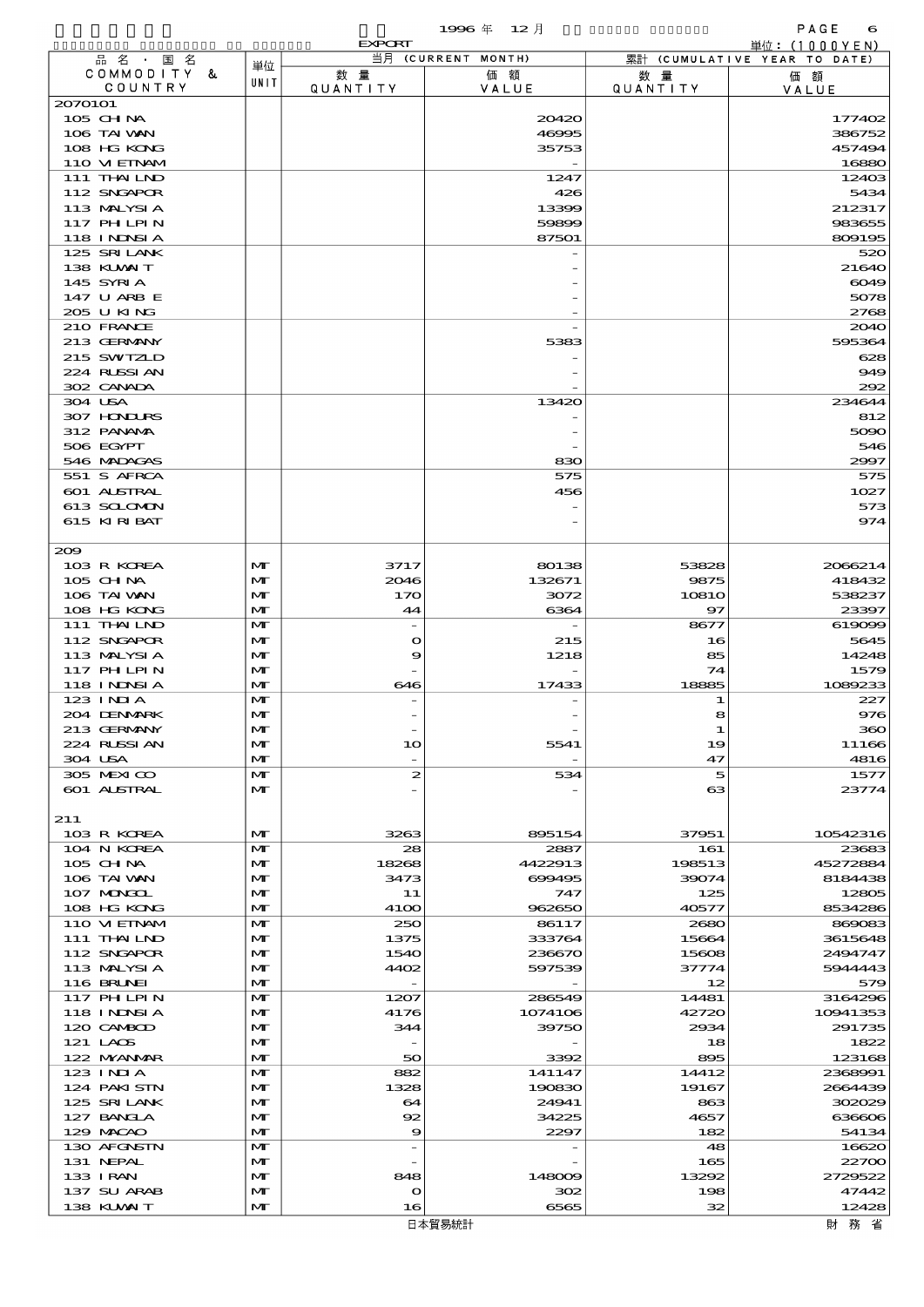$1996 \& 12 \rightarrow$ 

|                                  |                              | <b>EXPORT</b>                    |                    |                       | 単位: (1000 Y E N)             |
|----------------------------------|------------------------------|----------------------------------|--------------------|-----------------------|------------------------------|
| 品名・国名                            | 単位                           |                                  | 当月 (CURRENT MONTH) |                       | 累計 (CUMULATIVE YEAR TO DATE) |
| COMMODITY &<br>COUNTRY           | UNIT                         | 数量<br>QUANTITY                   | 価額<br>VALUE        | 数量<br><b>QUANTITY</b> | 価額<br>VALUE                  |
| 2070101                          |                              |                                  |                    |                       |                              |
| $105$ CHNA                       |                              |                                  | 20420              |                       | 177402                       |
| 106 TAI VAN                      |                              |                                  | 46995              |                       | 386752                       |
| 108 HG KONG                      |                              |                                  | 35753              |                       | 457494                       |
| 110 VIEINAM                      |                              |                                  |                    |                       | 16880                        |
| 111 THAILND                      |                              |                                  | 1247               |                       | 12403                        |
| 112 SNGAPOR<br>113 MALYSIA       |                              |                                  | 426<br>13399       |                       | 5434<br>212317               |
| 117 PH LPIN                      |                              |                                  | 59899              |                       | 983655                       |
| 118 I NJNSI A                    |                              |                                  | 87501              |                       | 809195                       |
| 125 SRILANK                      |                              |                                  |                    |                       | 520                          |
| 138 KUWAIT                       |                              |                                  |                    |                       | 21640                        |
| 145 SYRIA                        |                              |                                  |                    |                       | 6049                         |
| 147 U ARB E                      |                              |                                  |                    |                       | 5078                         |
| 205 U KING                       |                              |                                  |                    |                       | 2768                         |
| 210 FRANCE<br>213 GERMANY        |                              |                                  | 5383               |                       | 2040<br>595364               |
| 215 SWIZLD                       |                              |                                  |                    |                       | 628                          |
| 224 RUSSIAN                      |                              |                                  |                    |                       | 949                          |
| 302 CANADA                       |                              |                                  |                    |                       | 292                          |
| 304 USA                          |                              |                                  | 13420              |                       | 234644                       |
| 307 HNURS                        |                              |                                  |                    |                       | 812                          |
| 312 PANAMA                       |                              |                                  |                    |                       | 5090                         |
| 506 EGYPT<br>546 MADAGAS         |                              |                                  | 830                |                       | 546                          |
| 551 S AFRCA                      |                              |                                  | 575                |                       | 2997<br>575                  |
| <b>601 ALSTRAL</b>               |                              |                                  | 456                |                       | 1027                         |
| 613 SCLOMIN                      |                              |                                  |                    |                       | 573                          |
| 615 KIRIBAT                      |                              |                                  |                    |                       | 974                          |
|                                  |                              |                                  |                    |                       |                              |
| 200                              |                              |                                  |                    |                       |                              |
| 103 R KOREA                      | $\mathbf{M}$                 | 3717                             | 80138              | 53828                 | 2066214                      |
| $105$ CHNA<br>106 TAI WAN        | M<br>$\mathbf{M}$            | 2046<br>170                      | 132671<br>3072     | 9875<br>10810         | 418432<br>538237             |
| 108 HG KONG                      | $\mathbf{M}$                 | 44                               | 6364               | $\mathbf{S}$          | 23397                        |
| 111 THAILND                      | $\mathbf{M}$                 |                                  |                    | 8677                  | 619099                       |
| 112 SNGAPOR                      | M                            | $\mathbf o$                      | 215                | 16                    | 5645                         |
| 113 MALYSIA                      | $\mathbf{M}$                 | 9                                | 1218               | 85                    | 14248                        |
| <b>117 PHLPIN</b>                | $\mathbf{M}$                 |                                  |                    | 74                    | 1579                         |
| 118 I NDSI A                     | $\mathbf{M}$                 | 646                              | 17433              | 18885                 | 1089233                      |
| 123 INIA                         | $\mathbf{M}$                 |                                  |                    | 1                     | 227                          |
| 204 DENMARK<br>213 GERMANY       | $\mathbf{M}$<br>$\mathbf{M}$ |                                  |                    | 8                     | 976<br>360                   |
| 224 RUSSI AN                     | $\mathbf{M}$                 | 10                               | 5541               | 19                    | 11166                        |
| 304 USA                          | M                            | $\overline{\phantom{a}}$         |                    | 47                    | 4816                         |
| 305 MEXICO                       | $\mathbf{M}$                 | 2                                | 534                | 5                     | 1577                         |
| <b>601 ALSTRAL</b>               | M                            |                                  |                    | $\mathbf{G}$          | 23774                        |
|                                  |                              |                                  |                    |                       |                              |
| 211                              |                              |                                  |                    |                       |                              |
| 103 R KOREA<br>104 N KOREA       | $\mathbf{M}$<br>M            | 3263                             | 895154<br>2887     | 37951                 | 10542316<br>23683            |
| 105 CH NA                        | M                            | 28<br>18268                      | 4422913            | 161<br>198513         | 45272884                     |
| 106 TAI VAN                      | M                            | 3473                             | 699495             | 39074                 | 8184438                      |
| 107 MARGL                        | $\mathbf{M}$                 | 11                               | 747                | 125                   | 12805                        |
| 108 HG KONG                      | $\mathbf{M}$                 | 4100                             | 962650             | 40577                 | 8534286                      |
| 110 VI EINAM                     | M                            | 250                              | 86117              | 2680                  | 869083                       |
| 111 THAILND                      | $\mathbf{M}$                 | 1375                             | 333764             | 15664                 | 3615648                      |
| 112 SNGAPOR                      | M                            | 1540                             | 236670             | 15608                 | 2494747                      |
| 113 MALYSIA<br><b>116 BRUNEI</b> | $\mathbf{M}$<br>$\mathbf{M}$ | 4402<br>$\overline{\phantom{a}}$ | 597539             | 37774<br>12           | 5944443<br>579               |
| 117 PH LPIN                      | M                            | 1207                             | 286549             | 14481                 | 3164296                      |
| 118 I NJNSI A                    | M                            | 4176                             | 1074106            | 42720                 | 10941353                     |
| 120 CAMBOD                       | $\mathbf{M}$                 | 344                              | 39750              | 2934                  | 291735                       |
| 121 LAOS                         | $\mathbf{M}$                 |                                  |                    | 18                    | 1822                         |
| 122 NYANAR                       | $\mathbf{M}$                 | 50                               | 3392               | 895                   | 123168                       |
| $123$ INIA                       | M                            | 882                              | 141147             | 14412                 | 2368991                      |
| 124 PAKISTN                      | M                            | 1328                             | 190830             | 19167                 | 2664439                      |
| 125 SRILANK<br>127 BANCLA        | $\mathbf{M}$<br>$\mathbf{M}$ | 64<br>92                         | 24941<br>34225     | 863<br>4657           | 302029<br>636606             |
| 129 MACAO                        | $\mathbf{M}$                 | 9                                | 2297               | 182                   | 54134                        |
| 130 AFGNSTN                      | M                            | $\overline{a}$                   |                    | 48                    | 16620                        |
| 131 NEPAL                        | $\mathbf{M}$                 |                                  |                    | 165                   | 22700                        |
| 133 I RAN                        | $\mathbf{M}$                 | 848                              | 148009             | 13292                 | 2729522                      |
| 137 SU ARAB                      | $\mathbf{M}$                 | $\mathbf o$                      | 302                | 198                   | 47442                        |
| 138 KLVXIT                       | $\mathbf{M}$                 | 16                               | 6565               | 32                    | 12428                        |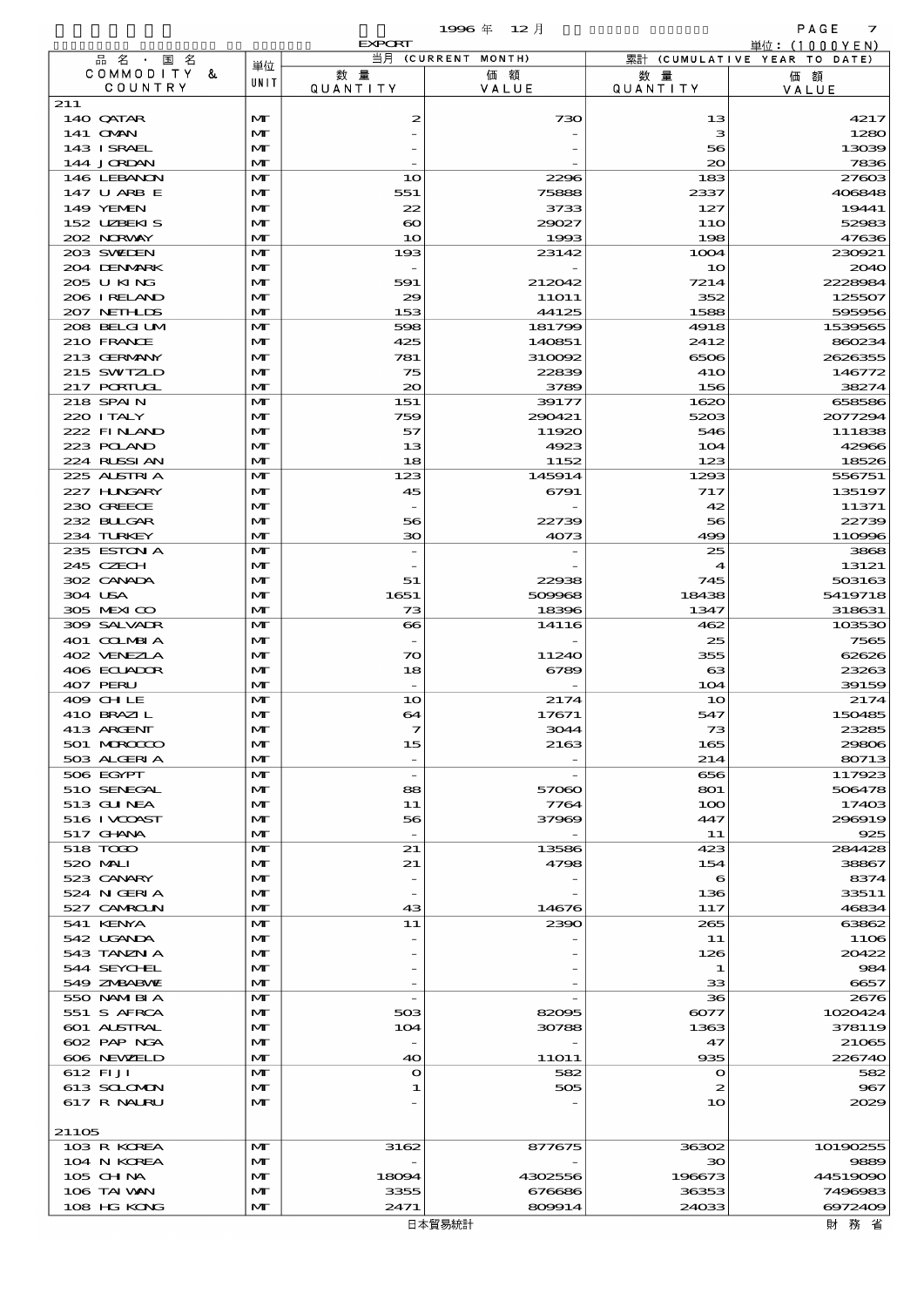$1996 \& 12 \rightarrow$ 

|                            |                              | <b>EXPORT</b>                  |                          |                        | 単位:(1000YEN)                       |
|----------------------------|------------------------------|--------------------------------|--------------------------|------------------------|------------------------------------|
| 品名・国名<br>COMMODITY &       | 単位                           | 数量                             | 当月 (CURRENT MONTH)<br>価額 | 数量                     | 累計 (CUMULATIVE YEAR TO DATE)<br>価額 |
| COUNTRY                    | UNIT                         | QUANTITY                       | VALUE                    | <b>QUANTITY</b>        | VALUE                              |
| 211                        |                              |                                |                          |                        |                                    |
| 140 QATAR<br>141 OMN       | M<br>M                       | 2                              | 730                      | 13<br>з                | 4217<br>1280                       |
| 143 I SRAEL                | $\mathbf{M}$                 |                                |                          | 56                     | 13039                              |
| 144 JORDAN                 | $\mathbf{M}$                 |                                |                          | $\infty$               | 7836                               |
| 146 LEBANON                | $\mathbf{M}$                 | 10                             | 2296                     | 183                    | 27603                              |
| 147 U ARB E<br>149 YEMEN   | M<br>M                       | 551<br>22                      | 75888<br>3733            | 2337<br>127            | 406848<br>19441                    |
| 152 UZBEKIS                | $\mathbf{M}$                 | $\boldsymbol{\infty}$          | 29027                    | 11O                    | 52983                              |
| 202 NORWAY                 | $\mathbf{M}$                 | 10                             | 1993                     | 198                    | 47636                              |
| 203 SWIDEN<br>204 DENMARK  | $\mathbf{M}$<br>M            | 193                            | 23142                    | 1004<br>10             | 230921<br>2040                     |
| 205 U KING                 | M                            | 591                            | 212042                   | 7214                   | 2228984                            |
| 206 I RELAND               | $\mathbf{M}$                 | 29                             | <b>11O11</b>             | 352                    | 125507                             |
| 207 NETHLIS                | M                            | 153                            | 44125                    | 1588                   | 595956                             |
| 208 BELGI UM<br>210 FRANCE | $\mathbf{M}$<br>$\mathbf{M}$ | 598<br>425                     | 181799<br>140851         | 4918<br>2412           | 1539565<br>860234                  |
| 213 GERMANY                | M                            | 781                            | 310092                   | 6506                   | 2626355                            |
| 215 SWIZLD                 | $\mathbf{M}$                 | 75                             | 22839                    | 410                    | 146772                             |
| 217 PORTUGL                | M                            | 20                             | 3789                     | 156                    | 38274                              |
| 218 SPAIN<br>220 I TALY    | $\mathbf{M}$<br>$\mathbf{M}$ | 151<br>759                     | 39177<br>290421          | 1620<br>5203           | 658586<br>2077294                  |
| 222 FINAND                 | M                            | 57                             | 11920                    | 546                    | 111838                             |
| 223 POLAND                 | $\mathbf{M}$                 | 13                             | 4923                     | 104                    | 42966                              |
| 224 RUSSI AN               | M                            | 18                             | 1152                     | 123                    | 18526                              |
| 225 ALSTRIA<br>227 HUNGARY | $\mathbf{M}$<br>M            | 123<br>45                      | 145914<br>6791           | 1293<br>717            | 556751<br>135197                   |
| 230 GREECE                 | M                            |                                |                          | 42                     | 11371                              |
| 232 BULGAR                 | $\mathbf{M}$                 | 56                             | 22739                    | 56                     | 22739                              |
| 234 TURKEY                 | M<br>$\mathbf{M}$            | 30                             | 4073                     | 499                    | 110996                             |
| 235 ESTON A<br>245 CZECH   | M                            |                                |                          | 25<br>$\boldsymbol{4}$ | 3868<br>13121                      |
| 302 CANADA                 | M                            | 51                             | 22938                    | 745                    | 503163                             |
| 304 USA                    | $\mathbf{M}$                 | 1651                           | 509968                   | 18438                  | 5419718                            |
| 305 MEXICO<br>309 SALVAIR  | M<br>$\mathbf{M}$            | 73<br>$\boldsymbol{\infty}$    | 18396<br>14116           | 1347<br>462            | 318631<br>103530                   |
| 401 COLMBIA                | M                            |                                |                          | 25                     | 7565                               |
| 402 VENEZLA                | M                            | $\infty$                       | 11240                    | 355                    | 62626                              |
| 406 ECUADOR                | $\mathbf{M}$                 | 18                             | 6789                     | 63                     | 23263                              |
| 407 PERU<br>409 CHLE       | $\mathbf{M}$<br>$\mathbf{M}$ | 10                             | 2174                     | 104<br>10              | 39159<br>2174                      |
| 410 BRAZIL                 | M                            | 64                             | 17671                    | 547                    | 150485                             |
| 413 ARCENT                 | $\mathbf{M}$                 | $\overline{\mathbf{z}}$        | 3044                     | 73                     | 23285                              |
| 501 MAROCCO                | M                            | 15                             | 2163                     | 165                    | 29806                              |
| 503 ALGERIA<br>506 EGYPT   | M<br>M                       |                                |                          | 214<br>656             | 80713<br>117923                    |
| 510 SENEGAL                | M                            | 88                             | 57060                    | 801                    | 506478                             |
| 513 GUNEA                  | M                            | 11                             | 7764                     | 100                    | 17403                              |
| 516 I VCOAST<br>517 GHNA   | M<br>$\mathbf{M}$            | 56<br>$\overline{\phantom{a}}$ | 37969                    | 447<br>11              | 296919<br>925                      |
| 518 TOGO                   | M                            | 21                             | 13586                    | 423                    | 284428                             |
| 520 MALI                   | M                            | 21                             | 4798                     | 154                    | 38867                              |
| 523 CANARY                 | M                            |                                |                          | 6                      | 8374                               |
| 524 N GERIA<br>527 CAMROLN | M<br>$\mathbf{M}$            | 43                             | 14676                    | 136<br>117             | 33511<br>46834                     |
| 541 KENYA                  | M                            | 11                             | 2390                     | 265                    | 63862                              |
| 542 UGANDA                 | M                            |                                |                          | 11                     | <b>1106</b>                        |
| 543 TANZN A<br>544 SEYCHEL | M<br>M                       |                                |                          | 126<br>1               | 20422<br>984                       |
| 549 ZNBABVE                | $\mathbf{M}$                 |                                |                          | 33                     | 6657                               |
| 550 NAMERIA                | M                            |                                |                          | 36                     | 2676                               |
| 551 S AFRCA                | M                            | 503                            | 82005                    | $_{\rm 6077}$          | 1020424                            |
| 601 ALSTRAL<br>602 PAP NGA | M<br>M                       | 104                            | 30788                    | 1363<br>47             | 378119<br>21065                    |
| 606 NEWELD                 | M                            | 40                             | <b>11O11</b>             | 935                    | 226740                             |
| 612 FIJI                   | M                            | $\mathbf{\Omega}$              | 582                      | $\mathbf o$            | 582                                |
| 613 SCLOMON                | M                            | 1                              | 505                      | 2                      | 967                                |
| 617 R NALRU                | M                            |                                |                          | 10                     | 2029                               |
| 21105                      |                              |                                |                          |                        |                                    |
| 103 R KOREA                | M                            | 3162                           | 877675                   | 36302                  | 10190255                           |
| 104 N KOREA                | M                            |                                |                          | 30                     | 9889                               |
| 105 CH NA<br>106 TAI VAN   | M<br>M                       | 18094<br>3355                  | 4302556<br>676686        | 196673<br>36353        | 44519090<br>7496983                |
| 108 HG KONG                | $\mathbf{M}$                 | 2471                           | 809914                   | 24033                  | 6972409                            |

財務省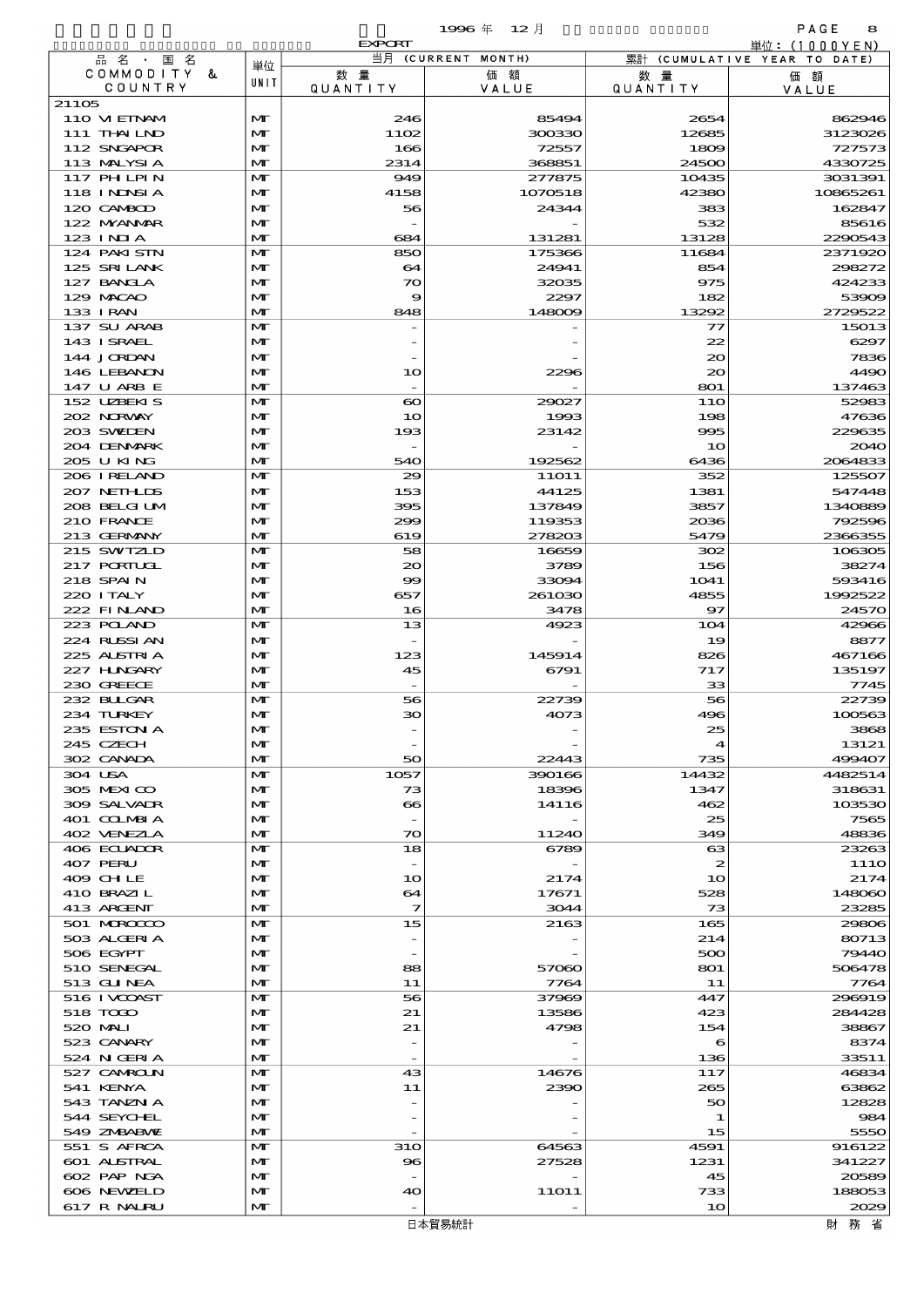$1996 \& 12 \rightarrow$ 

|                                   |                              | <b>EXPORT</b>           |                    |                            | 単位:(1000YEN)                 |
|-----------------------------------|------------------------------|-------------------------|--------------------|----------------------------|------------------------------|
| 品名・国名                             | 単位                           |                         | 当月 (CURRENT MONTH) |                            | 累計 (CUMULATIVE YEAR TO DATE) |
| COMMODITY &<br>COUNTRY            | UNIT                         | 数量<br>QUANTITY          | 価額<br>VALUE        | 数 量<br><b>QUANTITY</b>     | 価額<br>VALUE                  |
| 21105                             |                              |                         |                    |                            |                              |
| 110 VI EINAM                      | M                            | 246                     | 85494              | 2654                       | 862946                       |
| 111 THAILND                       | M                            | 1102                    | 300330             | 12685                      | 3123026                      |
| 112 SNGAPOR                       | $\mathbf{M}$                 | 166                     | 72557              | 1809                       | 727573                       |
| 113 MALYSIA                       | M                            | 2314                    | 368851             | 24500                      | 4330725                      |
| <b>117 PHLPIN</b><br>118 I NDSI A | $\mathbf{M}$<br>M            | 949<br>4158             | 277875<br>1070518  | 10435<br>42380             | 3031391<br>10865261          |
| 120 CAMBOD                        | M                            | 56                      | 24344              | 383                        | 162847                       |
| 122 NYANAR                        | $\mathbf{M}$                 |                         |                    | 532                        | 85616                        |
| $123$ INJA                        | M                            | 684                     | 131281             | 13128                      | 2290543                      |
| 124 PAKI STN                      | $\mathbf{M}$                 | 850                     | 175366             | 11684                      | 2371920                      |
| 125 SRILANK                       | M                            | 64                      | 24941              | 854                        | 298272                       |
| 127 BANCLA<br>129 MACAO           | M<br>$\mathbf{M}$            | 70                      | 32035<br>2297      | 975                        | 424233<br>53909              |
| 133 I RAN                         | $\mathbf{M}$                 | 9<br>848                | 148009             | 182<br>13292               | 2729522                      |
| 137 SU ARAB                       | $\mathbf{M}$                 |                         |                    | $\mathcal{T}$              | 15013                        |
| 143 ISRAEL                        | M                            |                         |                    | 22                         | 6297                         |
| 144 JORDAN                        | M                            |                         |                    | $\infty$                   | 7836                         |
| 146 LEBANON                       | $\mathbf{M}$                 | 10                      | 2296               | $\infty$                   | 4490                         |
| 147 U ARB E                       | $\mathbf{M}$                 |                         |                    | 801                        | 137463                       |
| 152 UZBEKIS<br>202 NRWAY          | $\mathbf{M}$<br>M            | ഌ<br>10                 | 29027<br>1993      | <b>11O</b><br>198          | 52983<br>47636               |
| 203 SWIDEN                        | M                            | 193                     | 23142              | 995                        | 229635                       |
| 204 DENMARK                       | $\mathbf{M}$                 | $\overline{a}$          |                    | 10                         | 2040                         |
| 205 U KING                        | $\mathbf{M}$                 | 540                     | 192562             | 6436                       | 2064833                      |
| 206 IRELAND                       | $\mathbf{M}$                 | 29                      | <b>11O11</b>       | 352                        | 125507                       |
| 207 NETHLIS                       | M                            | 153                     | 44125              | 1381                       | 547448                       |
| 208 BELGI UM<br>210 FRANCE        | M<br>$\mathbf{M}$            | 395<br>299              | 137849             | 3857                       | 1340889<br>792596            |
| 213 GERMANY                       | $\mathbf{M}$                 | 619                     | 119353<br>278203   | 2036<br>5479               | 2366355                      |
| 215 SWIZLD                        | $\mathbf{M}$                 | 58                      | 16659              | 302                        | 106305                       |
| 217 PORTUGL                       | M                            | 20                      | 3789               | 156                        | 38274                        |
| 218 SPAIN                         | $\mathbf{M}$                 | $\infty$                | 33094              | 1041                       | 593416                       |
| 220 I TALY                        | $\mathbf{M}$                 | 657                     | 261030             | 4855                       | 1992522                      |
| 222 FINAND                        | $\mathbf{M}$                 | 16                      | 3478               | $\mathbf{S}$               | 24570                        |
| 223 POLAND<br>224 RUSSIAN         | $\mathbf{M}$<br>M            | 13                      | 4923               | 104<br>19                  | 42966<br>8877                |
| 225 ALSTRIA                       | $\mathbf{M}$                 | 123                     | 145914             | 826                        | 467166                       |
| 227 H.NGARY                       | $\mathbf{M}$                 | 45                      | 6791               | 717                        | 135197                       |
| 230 GREECE                        | $\mathbf{M}$                 |                         |                    | 33                         | 7745                         |
| 232 BLLGAR                        | M                            | 56                      | 22739              | 56                         | 22739                        |
| 234 TURKEY<br>235 ESTON A         | $\mathbf{M}$                 | 30                      | 4073               | 496                        | 100563                       |
| 245 CZECH                         | M<br>M                       |                         |                    | 25<br>$\blacktriangleleft$ | 3868<br>13121                |
| 302 CANADA                        | $\mathbf{M}$                 | 50                      | 22443              | 735                        | 499407                       |
| 304 USA                           | M                            | 1057                    | 390166             | 14432                      | 4482514                      |
| 305 MEXICO                        | $\mathbf{M}$                 | 73                      | 18396              | 1347                       | 318631                       |
| 309 SALVADR                       | $\mathbf{M}$                 | $\infty$                | 14116              | 462                        | 103530                       |
| 401 COLMBIA                       | M                            |                         |                    | 25                         | 7565                         |
| 402 VENEZIA                       | M                            | 70                      | 11240              | 349                        | 48836                        |
| 406 ECUADOR<br>407 PERU           | $\mathbf{M}$<br>$\mathbf{M}$ | 18                      | 6789               | ങ<br>2                     | 23263<br>111O                |
| 409 CHLE                          | M                            | 10                      | 2174               | 1 <sub>O</sub>             | 2174                         |
| 410 BRAZIL                        | M                            | 64                      | 17671              | 528                        | 148060                       |
| 413 ARCENT                        | $\mathbf{M}\mathbf{T}$       | $\overline{\mathbf{z}}$ | 3044               | 73                         | 23285                        |
| 501 MROCCO                        | $\mathbf{M}$                 | 15                      | 2163               | 165                        | 29806                        |
| 503 ALGERIA<br>506 EGYPT          | $\mathbf{M}$<br>M            |                         |                    | 214<br>500                 | 80713<br>79440               |
| 510 SENEGAL                       | M                            | 88                      | 57060              | 801                        | 506478                       |
| 513 GU NEA                        | M                            | 11                      | 7764               | 11                         | 7764                         |
| 516 I VCOAST                      | $\mathbf{M}$                 | 56                      | 37969              | 447                        | 296919                       |
| 518 TOGO                          | $\mathbf{M}$                 | 21                      | 13586              | 423                        | 284428                       |
| 520 MAI I                         | M                            | 21                      | 4798               | 154                        | 38867                        |
| 523 CANARY                        | M                            |                         |                    | 6                          | 8374                         |
| 524 N GERIA<br>527 CAMROLN        | $\mathbf{M}$<br>$\mathbf{M}$ | 43                      | 14676              | 136<br>117                 | 33511<br>46834               |
| 541 KENYA                         | $\mathbf{M}$                 | 11                      | 2390               | 265                        | 63862                        |
| 543 TANZN A                       | M                            |                         |                    | 50                         | 12828                        |
| 544 SEYCHEL                       | M                            |                         |                    | 1                          | 984                          |
| 549 ZNBABVE                       | $\mathbf{M}\mathbf{T}$       |                         |                    | 15                         | 5550                         |
| 551 S AFRCA                       | $\mathbf{M}$                 | 310                     | 64563              | 4591                       | 916122                       |
| 601 ALSTRAL<br>602 PAP NGA        | $\mathbf{M}$                 | 96                      | 27528              | 1231                       | 341227                       |
| 606 NEWELD                        | M<br>M                       | 40                      | 11O11              | 45<br>733                  | 20589<br>188053              |
| 617 R NALRU                       | $\mathbf{M}$                 |                         |                    | 10                         | 2029                         |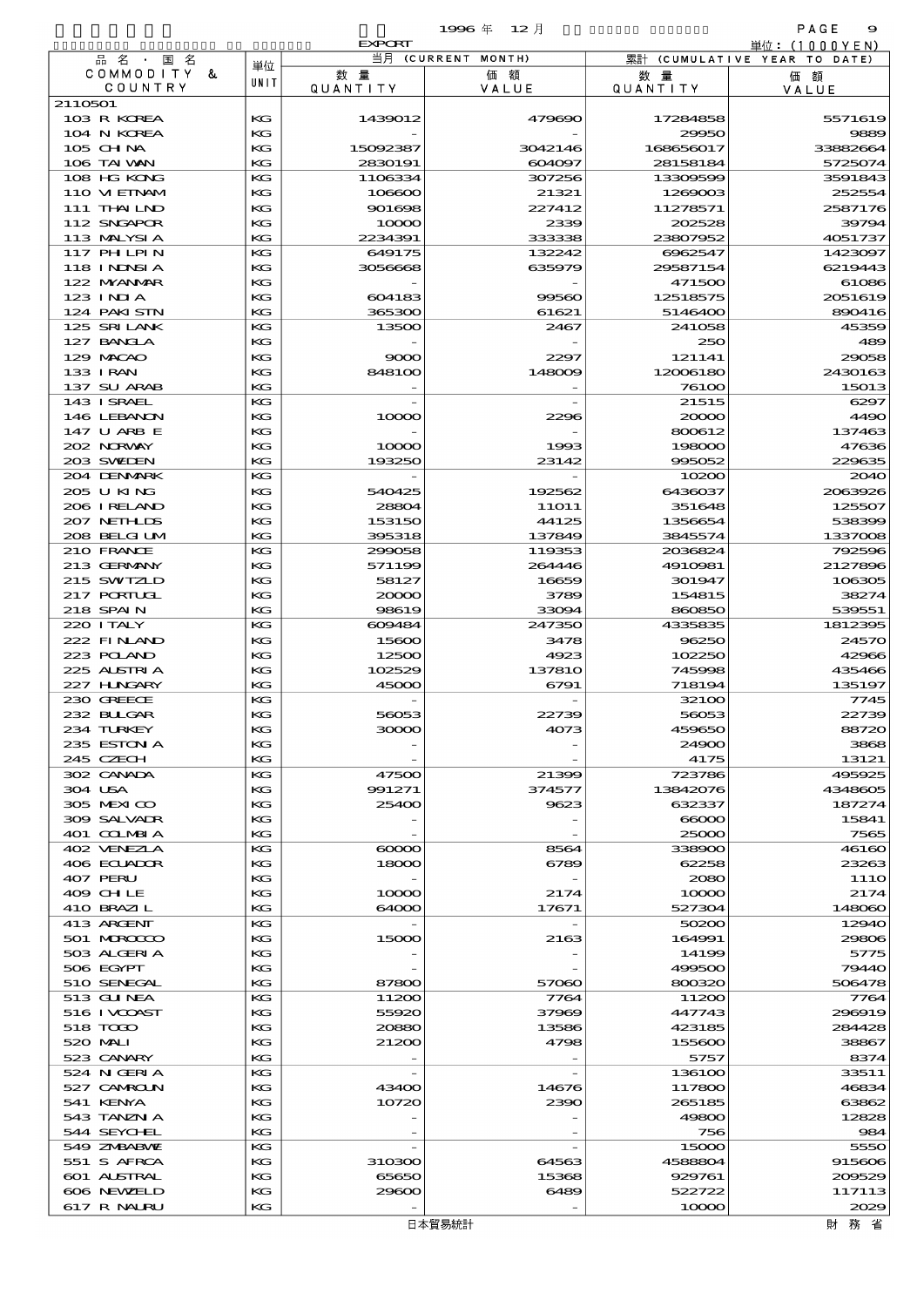|                                 |                   |                              | $1996 \text{ } \#$<br>- 12 月 |                      | PAGE<br>9                                       |
|---------------------------------|-------------------|------------------------------|------------------------------|----------------------|-------------------------------------------------|
| 品名・国名                           |                   | <b>EXPORT</b><br>当月 (CURRENT | MONTH)                       |                      | 単位: $(1000YEN)$<br>累計 (CUMULATIVE YEAR TO DATE) |
| COMMODITY<br>8.                 | 単位<br>UNIT        | 数量                           | 価額                           | 数 量                  | 価額                                              |
| COUNTRY<br>2110501              |                   | QUANTITY                     | VALUE                        | QUANTITY             | VALUE                                           |
| 103 R KOREA                     | KG                | 1439012                      | 479690                       | 17284858             | 5571619                                         |
| 104 N KOREA                     | KG                |                              |                              | 29950                | 9889                                            |
| $105$ CHNA                      | КG                | 15092387                     | 3042146                      | 168656017            | 33882664                                        |
| 106 TAI VAN<br>108 HG KONG      | KG<br>КG          | 2830191<br>1106334           | 604097<br>307256             | 28158184<br>13309599 | 5725074<br>3591843                              |
| 110 VIEINAM                     | КG                | 106600                       | 21321                        | 1269003              | 252554                                          |
| 111 THAILND                     | KG                | 901698                       | 227412                       | 11278571             | 2587176                                         |
| 112 SNGAPOR                     | KG                | 10000                        | 2339                         | 202528               | 39794                                           |
| 113 MALYSIA                     | K                 | 2234391                      | 333338                       | 23807952             | 4051737                                         |
| 117 PH LPIN                     | КG                | 649175<br>3056668            | 132242                       | 6962547              | 1423097                                         |
| <b>118 INDSIA</b><br>122 NYANAR | KG<br>КG          |                              | 635979                       | 29587154<br>471500   | 6219443<br>61086                                |
| $123$ INIA                      | $_{\rm KG}$       | 604183                       | 99560                        | 12518575             | 2051619                                         |
| 124 PAKISTN                     | KG                | 365300                       | 61621                        | 5146400              | 890416                                          |
| 125 SRILANK                     | КG                | 13500                        | 2467                         | 241058               | 45359                                           |
| 127 BANCLA                      | KG                |                              |                              | 250                  | 489                                             |
| 129 MACAO<br>133 I RAN          | KG<br>KG          | 9000<br>848100               | 2297<br>148009               | 121141<br>12006180   | 29058<br>2430163                                |
| 137 SU ARAB                     | KG                |                              |                              | 76100                | 15013                                           |
| 143 ISRAEL                      | КG                |                              |                              | 21515                | 6297                                            |
| 146 LEBANON                     | KG                | 10000                        | 2296                         | 20000                | 4490                                            |
| 147 U ARB E                     | КG                |                              |                              | 800612               | 137463                                          |
| 202 NORWAY                      | $_{\rm KG}$<br>KG | 10000                        | 1993                         | 198000<br>995052     | 47636                                           |
| 203 SWIDEN<br>204 DENMARK       | КG                | 193250                       | 23142                        | 10200                | 229635<br>2040                                  |
| 205 U KING                      | KG                | 540425                       | 192562                       | 6436037              | 2063926                                         |
| 206 I RELAND                    | KG                | 28804                        | 11O11                        | 351648               | 125507                                          |
| 207 NETHLIS                     | $_{\rm KG}$       | 153150                       | 44125                        | 1356654              | 538399                                          |
| 208 BELGI UM                    | КG                | 395318                       | 137849                       | 3845574              | 1337008                                         |
| 210 FRANCE<br>213 GERMANY       | КG<br>KG          | 299058<br>571199             | 119353<br>264446             | 2036824<br>4910981   | 792596<br>2127896                               |
| 215 SWIZLD                      | КG                | 58127                        | 16659                        | 301947               | 106305                                          |
| 217 PORTUGL                     | KG                | 20000                        | 3789                         | 154815               | 38274                                           |
| 218 SPAIN                       | KG                | 98619                        | 33094                        | 860850               | 539551                                          |
| 220 I TALY                      | КG                | 609484                       | 247350                       | 4335835              | 1812395                                         |
| 222 FINAND                      | KG                | 15600                        | 3478                         | 96250                | 24570                                           |
| 223 POLAND<br>225 ALSTRIA       | KG<br>КG          | 12500<br>102529              | 4923<br>137810               | 102250<br>745998     | 42966<br>435466                                 |
| 227 H.NGARY                     | KG                | 45000                        | 6791                         | 718194               | 135197                                          |
| 230 GREECE                      | КG                |                              |                              | 32100                | 7745                                            |
| 232 BULGAR                      | KG                | 56053                        | 22 T.S.                      | 56053                | 22739                                           |
| 234 TURKEY                      | КG                | 30000                        | 4073                         | 459650               | 88720                                           |
| 235 ESTON A<br>245 CZECH        | КG<br>KG          |                              |                              | 24900<br>4175        | 3868<br>13121                                   |
| 302 CANADA                      | KG                | 47500                        | 21399                        | 723786               | 495925                                          |
| 304 USA                         | KG                | 991271                       | 374577                       | 13842076             | 4348605                                         |
| 305 MEXICO                      | КG                | 25400                        | 9623                         | 632337               | 187274                                          |
| 309 SALVADR                     | КG                |                              |                              | 66000                | 15841                                           |
| 401 COLMBIA<br>402 VENEZIA      | KG<br>KG          | $\infty$                     | 8564                         | 25000                | 7565<br>46160                                   |
| 406 ECUADOR                     | КG                | 18000                        | 6789                         | 338900<br>62258      | 23263                                           |
| 407 PERU                        | КG                |                              |                              | 2080                 | <b>111O</b>                                     |
| 409 CH LE                       | КG                | 10000                        | 2174                         | 10000                | 2174                                            |
| 410 BRAZIL                      | KG                | 64000                        | 17671                        | 527304               | 148060                                          |
| 413 ARCENT<br>501 MERCECCO      | KG<br>KG          |                              |                              | 50200<br>164991      | 12940<br>29806                                  |
| 503 ALGERIA                     | КG                | 15000                        | 2163                         | 14199                | 5775                                            |
| 506 EGYPT                       | КG                |                              |                              | 499500               | 79440                                           |
| 510 SENEGAL                     | KG                | 87800                        | 57060                        | 800320               | 506478                                          |
| 513 GU NEA                      | KG                | 11200                        | 7764                         | 11200                | 7764                                            |
| 516 I VOOAST                    | КG                | 55920                        | 37969                        | 447743               | 296919                                          |
| 518 TODO<br>520 MAI I           | KG<br>КG          | 20880<br>21200               | 13586<br>4798                | 423185<br>155600     | 284428<br>38867                                 |
| 523 CANARY                      | KG                |                              |                              | 5757                 | 8374                                            |
| 524 N GERI A                    | KG                |                              |                              | 136100               | 33511                                           |
| 527 CAMROLN                     | KG                | 43400                        | 14676                        | 117800               | 46834                                           |
| 541 KENYA                       | KG                | 10720                        | 2390                         | 265185               | 63862                                           |
| 543 TANZN A                     | КG                |                              |                              | 49800                | 12828                                           |
| 544 SEYCHEL<br>549 ZMBABMZ      | KG<br>KG          |                              |                              | 756<br>15000         | 984<br>5550                                     |
| 551 S AFRCA                     | КG                | 310300                       | 64563                        | 4588804              | 915606                                          |
| 601 ALSTRAL                     | KG                | 65650                        | 15368                        | 929761               | 200529                                          |
| 606 NEWELD                      | КG                | 29600                        | 6489                         | 522722               | 117113                                          |
| 617 R NALRU                     | KG                |                              |                              | 10000                | 2029                                            |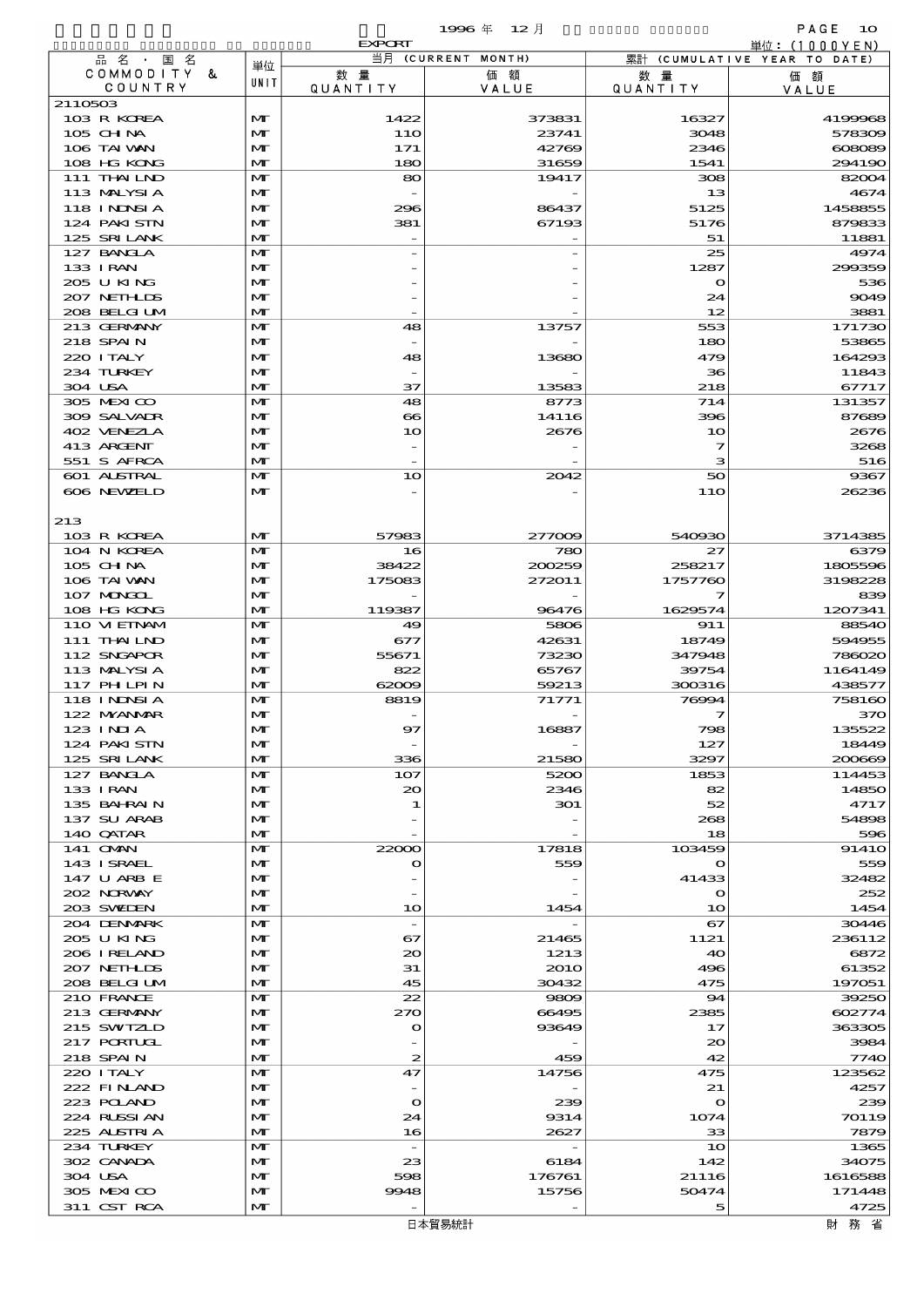$1996 \& 12 \&$ 

|               |              | <b>EXPORT</b>            |                    |                 | 単位:(1000YEN)                 |
|---------------|--------------|--------------------------|--------------------|-----------------|------------------------------|
| 品名・国名         |              |                          | 当月 (CURRENT MONTH) |                 | 累計 (CUMULATIVE YEAR TO DATE) |
| COMMODITY &   | 単位           | 数量                       | 価額                 | 数量              | 価額                           |
| COUNTRY       | UNIT         | QUANTITY                 | VALUE              | <b>QUANTITY</b> | VALUE                        |
| 2110503       |              |                          |                    |                 |                              |
| 103 R KOREA   | M            | 1422                     | 373831             | 16327           | 4199968                      |
| $105$ CHNA    | $\mathbf{M}$ | 11O                      | 23741              | 3048            | 578309                       |
| 106 TAI VAN   | M            | 171                      | 42769              | 2346            | 608089                       |
| 108 HG KONG   | $\mathbf{M}$ | 180                      | 31659              | 1541            | 294190                       |
| 111 THAILND   | M            | 80                       | 19417              | 308             | 82004                        |
| 113 MALYSIA   | M            |                          |                    | 13              | 4674                         |
| 118 INDSIA    | $\mathbf{M}$ | 296                      | 86437              | 5125            | 1458855                      |
| 124 PAKI STN  | M            | 381                      | 67193              | 5176            | 879833                       |
| 125 SRILANK   | $\mathbf{M}$ |                          |                    | 51              | 11881                        |
| 127 BANCLA    | M            |                          |                    | 25              | 4974                         |
|               |              |                          |                    |                 |                              |
| 133 I RAN     | M            |                          |                    | 1287            | 299359                       |
| 205 U KING    | $\mathbf{M}$ |                          |                    | $\mathbf{o}$    | 536                          |
| 207 NETHLIS   | M            |                          |                    | 24              | 9049                         |
| 208 BELGI UM  | $\mathbf{M}$ |                          |                    | 12              | 3881                         |
| 213 GERMANY   | M            | 48                       | 13757              | 553             | 171730                       |
| 218 SPAIN     | M            |                          |                    | 180             | 53865                        |
| 220 ITALY     | $\mathbf{M}$ | 48                       | 13680              | 479             | 164293                       |
| 234 TURKEY    | $\mathbf{M}$ | $\overline{\phantom{a}}$ |                    | 36              | 11843                        |
| 304 USA       | $\mathbf{M}$ | 37                       | 13583              | 218             | 67717                        |
| 305 MEXICO    | M            | 48                       | 8773               | 714             | 131357                       |
| 309 SALVADR   | M            | $\infty$                 | 14116              | 396             | 87689                        |
| 402 VENEZIA   | $\mathbf{M}$ | 10                       | 2676               | 10              | 2676                         |
| 413 ARCENT    | $\mathbf{M}$ | $\overline{\phantom{a}}$ |                    | 7               | 3268                         |
| 551 S AFRCA   | $\mathbf{M}$ |                          |                    | з               | 516                          |
| 601 ALSTRAL   | M            | 10                       | 2042               | 50              | 9367                         |
| 606 NEWELD    | $\mathbf{M}$ |                          |                    | 11O             | 26236                        |
|               |              |                          |                    |                 |                              |
| 213           |              |                          |                    |                 |                              |
| 103 R KOREA   | $\mathbf{M}$ | 57983                    | 277009             | 540930          | 3714385                      |
| 104 N KOREA   | M            | 16                       | 780                | 27              | 6379                         |
| 105 CH NA     | $\mathbf{M}$ | 38422                    | 200259             | 258217          | 1805596                      |
| 106 TAI WAN   | $\mathbf{M}$ | 175083                   | 272011             | 1757760         | 3198228                      |
| 107 MAKKL     | M            |                          |                    | フ               | 839                          |
| 108 HG KONG   | $\mathbf{M}$ | 119387                   | 96476              | 1629574         | 1207341                      |
| 110 VIEINAM   | M            | 49                       | 5806               | 911             | 88540                        |
| 111 THAI LND  | $\mathbf{M}$ |                          | 42631              | 18749           |                              |
| 112 SNGAPOR   | $\mathbf{M}$ | 677<br>55671             | 73230              | 347948          | 594955<br>786020             |
|               |              |                          |                    | 39754           |                              |
| 113 MALYSIA   | M            | 822                      | 65767              |                 | 1164149                      |
| 117 PH LPIN   | $\mathbf{M}$ | 62009                    | 59213              | 300316          | 438577                       |
| 118 I NJNSI A | M            | 8819                     | 71771              | 76994           | 758160                       |
| 122 NYANAR    | $\mathbf{M}$ |                          |                    | 7               | 370                          |
| 123 INIA      | $\mathbf{M}$ | 97                       | 16887              | 798             | 135522                       |
| 124 PAKISTN   | M            |                          |                    | 127             | 18449                        |
| 125 SRILANK   | M            | 336                      | 21580              | 3297            | 200669                       |
| 127 BANCLA    | M            | 107                      | 5200               | 1853            | 114453                       |
| 133 I RAN     | $\mathbf{M}$ | 20                       | 2346               | 82              | 14850                        |
| 135 BAHRAIN   | $\mathbf{M}$ | 1                        | 301                | 52              | 4717                         |
| 137 SU ARAB   | M            |                          |                    | 268             | 54898                        |
| 140 QATAR     | $\mathbf{M}$ |                          |                    | 18              | 596                          |
| 141 OMN       | M            | 22000                    | 17818              | 103459          | <b>91410</b>                 |
| 143 I SRAEL   | $\mathbf{M}$ | $\mathbf o$              | 559                | $\mathbf{o}$    | 559                          |
| 147 U ARB E   | $\mathbf{M}$ |                          |                    | 41433           | 32482                        |
| 202 NORWAY    | M            |                          |                    | $\mathbf{o}$    | 252                          |
| 203 SWIDEN    | $\mathbf{M}$ | 10                       | 1454               | 10              | 1454                         |
| 204 DENMARK   | M            |                          |                    | 67              | 30446                        |
| 205 U KING    | $\mathbf{M}$ | 67                       | 21465              | 1121            | 236112                       |
| 206 I RELAND  | $\mathbf{M}$ | 20                       | 1213               | 40              | 6872                         |
| 207 NETH LIS  | M            | 31                       | <b>2010</b>        | 496             | 61352                        |
| 208 BELGI UM  | $\mathbf{M}$ | 45                       | 30432              | 475             | 197051                       |
| 210 FRANCE    | M            | 22                       | 9809               | 94              | 39250                        |
| 213 GERMANY   | $\mathbf{M}$ | 270                      | 66495              | 2385            | 602774                       |
| 215 SWIZLD    | M            | $\mathbf{\Omega}$        | 93649              | 17              | 363305                       |
| 217 PORTUGL   | M            |                          |                    | $\infty$        | 3984                         |
| 218 SPAIN     | $\mathbf{M}$ | 2                        | 459                | 42              | 7740                         |
| 220 I TALY    | M            | 47                       | 14756              | 475             | 123562                       |
| 222 FINAND    | $\mathbf{M}$ |                          |                    | 21              | 4257                         |
| 223 POLAND    | M            |                          | 239                | $\mathbf o$     | 239                          |
| 224 RUSSI AN  | M            | $\mathbf{\Omega}$<br>24  | 9314               | 1074            | 70119                        |
|               | $\mathbf{M}$ |                          |                    |                 |                              |
| 225 ALSTRIA   |              | 16                       | 2627               | 33              | 7879                         |
| 234 TURKEY    | M            |                          |                    | 1 <sub>O</sub>  | 1365                         |
| 302 CANADA    | $\mathbf{M}$ | 23                       | 6184               | 142             | 34075                        |
| 304 USA       | M            | 598                      | 176761             | 21116           | 1616588                      |
| 305 MEXICO    | M            | 9948                     | 15756              | 50474           | 171448                       |
| 311 CST RCA   | $\mathbf{M}$ |                          |                    | 5               | 4725                         |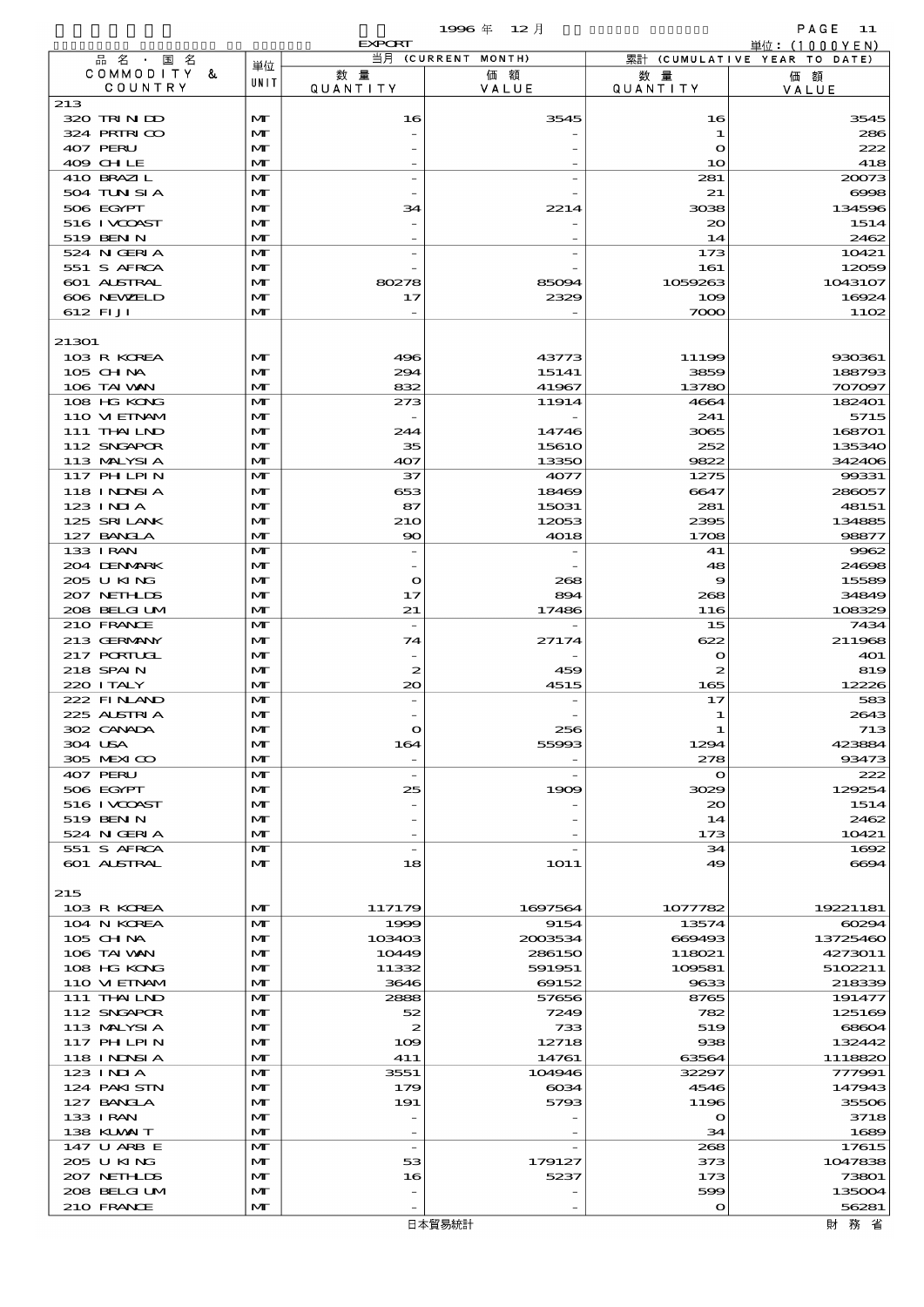|                             |                              | <b>EXPORT</b>            | 1996年 12月          |                        | PAGE<br>11<br>単位:(1000YEN) |
|-----------------------------|------------------------------|--------------------------|--------------------|------------------------|----------------------------|
| 品名・国名                       |                              |                          | 当月 (CURRENT MONTH) | 累計                     | (CUMULATIVE YEAR TO DATE)  |
| COMMODITY &<br>COUNTRY      | 単位<br>UNIT                   | 数量<br><b>QUANTITY</b>    | 価額<br>VALUE        | 数 量<br><b>QUANTITY</b> | 価額<br>VALUE                |
| 213                         |                              |                          |                    |                        |                            |
| 320 TRINDO                  | $\mathbf{M}$                 | 16                       | 3545               | 16                     | 3545                       |
| 324 PRIRICO                 | $\mathbf{M}$                 |                          |                    | 1                      | 286                        |
| 407 PERU                    | $\mathbf{M}$                 |                          |                    | O                      | 222                        |
| 409 CHLE                    | $\mathbf{M}$                 |                          |                    | 10                     | 418                        |
| 410 BRAZIL                  | $\mathbf{M}$                 | $\overline{\phantom{0}}$ |                    | 281                    | 20073                      |
| 504 TUN SI A                | $\mathbf{M}$                 |                          |                    | 21                     | 6998                       |
| 506 EGYPT                   | $\mathbf{M}$                 | 34                       | 2214               | 3038                   | 134596                     |
| 516 I VCOAST<br>519 BEN N   | $\mathbf{M}$<br>$\mathbf{M}$ |                          |                    | 20                     | 1514<br>2462               |
| 524 N GERIA                 | $\mathbf{M}$                 | $\overline{\phantom{0}}$ |                    | 14<br>173              | 10421                      |
| 551 S AFRCA                 | $\mathbf{M}$                 |                          |                    | 161                    | 12059                      |
| <b>601 ALSTRAL</b>          | $\mathbf{M}$                 | 80278                    | 85094              | 1059263                | 1043107                    |
| 606 NEWELD                  | $\mathbf{M}$                 | 17                       | 2329               | 109                    | 16924                      |
| 612 FIJI                    | $\mathbf{M}$                 |                          |                    | 7000                   | 1102                       |
|                             |                              |                          |                    |                        |                            |
| 21301                       |                              |                          |                    |                        |                            |
| 103 R KOREA                 | $\mathbf{M}$                 | 496                      | 43773              | 11199                  | 930361                     |
| $105$ CHNA                  | $\mathbf{M}$                 | 294                      | 15141              | 3859                   | 188793                     |
| 106 TAI WAN                 | $\mathbf{M}$                 | 832                      | 41967              | 13780                  | 707097                     |
| 108 HG KONG                 | $\mathbf{M}$                 | 273                      | 11914              | 4664                   | 182401                     |
| 110 VI EINAM<br>111 THAILND | $\mathbf{M}$<br>$\mathbf{M}$ | 244                      | 14746              | 241<br>3065            | 5715<br>168701             |
| 112 SNGAPOR                 | $\mathbf{M}$                 | 35                       | 1561O              | 252                    | 135340                     |
| 113 MALYSIA                 | $\mathbf{M}$                 | 407                      | 13350              | 9822                   | 342406                     |
| 117 PH LPIN                 | M                            | 37                       | 4077               | 1275                   | 99331                      |
| 118 I NDNSI A               | $\mathbf{M}$                 | 653                      | 18469              | 6647                   | 286057                     |
| $123$ INJA                  | $\mathbf{M}$                 | 87                       | 15031              | 281                    | 48151                      |
| 125 SRILANK                 | $\mathbf{M}$                 | <b>210</b>               | 12053              | 2395                   | 134885                     |
| 127 BANCLA                  | $\mathbf{M}$                 | ဓဝ                       | 4018               | 1708                   | 98877                      |
| 133 IRAN                    | $\mathbf{M}$                 | $\overline{\phantom{a}}$ |                    | 41                     | 9962                       |
| 204 DENMARK                 | $\mathbf{M}$                 |                          |                    | 48                     | 24698                      |
| 205 U KING                  | $\mathbf{M}$                 | $\mathbf{\Omega}$        | 268                | 9                      | 15589                      |
| 207 NETHLIS                 | $\mathbf{M}$                 | 17                       | 894                | 268                    | 34849                      |
| 208 BELGI UM                | $\mathbf{M}$                 | 21                       | 17486              | 116                    | 108329                     |
| 210 FRANCE                  | M                            |                          |                    | 15                     | 7434                       |
| 213 GERMANY<br>217 PORIUL   | $\mathbf{M}$                 | 74                       | 27174              | 622                    | 211968                     |
| 218 SPAIN                   | $\mathbf{M}$<br>$\mathbf{M}$ | 2                        | 459                | O<br>2                 | 401<br>819                 |
| 220 I TALY                  | $\mathbf{M}$                 | 20                       | 4515               | 165                    | 12226                      |
| 222 FINAND                  | $\mathbf{M}$                 |                          |                    | 17                     | 583                        |
| 225 ALSTRIA                 | $\mathbf{M}$                 |                          |                    |                        | 2643                       |
| 302 CANADA                  | $\mathbf{M}$                 | $\mathbf{\Omega}$        | 256                | -1                     | 713                        |
| 304 USA                     | $\mathbf{M}$                 | 164                      | 55993              | 1294                   | 423884                     |
| 305 MEXICO                  | $\mathbf{M}$                 | $\overline{\phantom{a}}$ |                    | 278                    | 93473                      |
| 407 PERU                    | $\mathbf{M}$                 | $\overline{\phantom{a}}$ |                    | $\mathbf o$            | 222                        |
| 506 EGYPT                   | $\mathbf{M}$                 | 25                       | 1909               | 3029                   | 129254                     |
| 516 I VCOAST                | $\mathbf{M}$                 |                          |                    | 20                     | 1514                       |
| 519 BENN                    | $\mathbf{M}$                 |                          |                    | 14                     | 2462                       |
| 524 N GERIA<br>551 S AFRCA  | $\mathbf{M}$<br>$\mathbf{M}$ | $\overline{\phantom{a}}$ |                    | 173<br>34              | 10421<br>1692              |
| 601 ALSTRAL                 | $\mathbf{M}$                 | 18                       | <b>1O11</b>        | 49                     | 6694                       |
|                             |                              |                          |                    |                        |                            |
| 215                         |                              |                          |                    |                        |                            |
| 103 R KOREA                 | $\mathbf{M}$                 | 117179                   | 1697564            | 1077782                | 19221181                   |
| 104 N KOREA                 | M                            | 1999                     | 9154               | 13574                  | 60294                      |
| $105$ CHNA                  | $\mathbf{M}$                 | 103403                   | 2003534            | 669493                 | 13725460                   |
| 106 TAI WAN                 | $\mathbf{M}$                 | 10449                    | 286150             | 118021                 | 4273011                    |
| 108 HG KONG                 | $\mathbf{M}$                 | 11332                    | 591951             | 109581                 | 5102211                    |
| 110 VIEINAM                 | $\mathbf{M}$                 | 3646                     | 69152              | 9633                   | 218339                     |
| 111 THAILND<br>112 SNGAPOR  | M<br>$\mathbf{M}$            | 2888<br>52               | 57656<br>7249      | 8765<br>782            | 191477<br>125169           |
| 113 MALYSIA                 | $\mathbf{M}$                 | 2                        | 733                | 519                    | 68604                      |
| 117 PH LPIN                 | $\mathbf{M}\mathbf{T}$       | 109                      | 12718              | 938                    | 132442                     |
| <b>118 INDSIA</b>           | $\mathbf{M}$                 | 411                      | 14761              | 63564                  | 1118820                    |
| $123$ INIA                  | M                            | 3551                     | 104946             | 32297                  | 777991                     |
| 124 PAKISTN                 | $\mathbf{M}$                 | 179                      | $\cos\!4$          | 4546                   | 147943                     |
| 127 BANCLA                  | $\mathbf{M}$                 | 191                      | 5793               | 1196                   | 35506                      |
| 133 I RAN                   | $\mathbf{M}$                 |                          |                    | $\mathbf{o}$           | 3718                       |
| 138 KUWAIT                  | $\mathbf{M}$                 | $\overline{\phantom{a}}$ |                    | 34                     | 1689                       |
| 147 U ARB E                 | M                            | $\overline{\phantom{a}}$ |                    | 268                    | 17615                      |
| 205 U KING                  | $\mathbf{M}$                 | 53                       | 179127             | 373                    | 1047838                    |
| 207 NETHLIS                 | $\mathbf{M}$                 | 16                       | 5237               | 173                    | 73801                      |
| 208 BELGI UM<br>210 FRANCE  | $\mathbf{M}$<br>$\mathbf{M}$ |                          |                    | 599<br>$\bullet$       | 135004<br>56281            |
|                             |                              |                          |                    |                        |                            |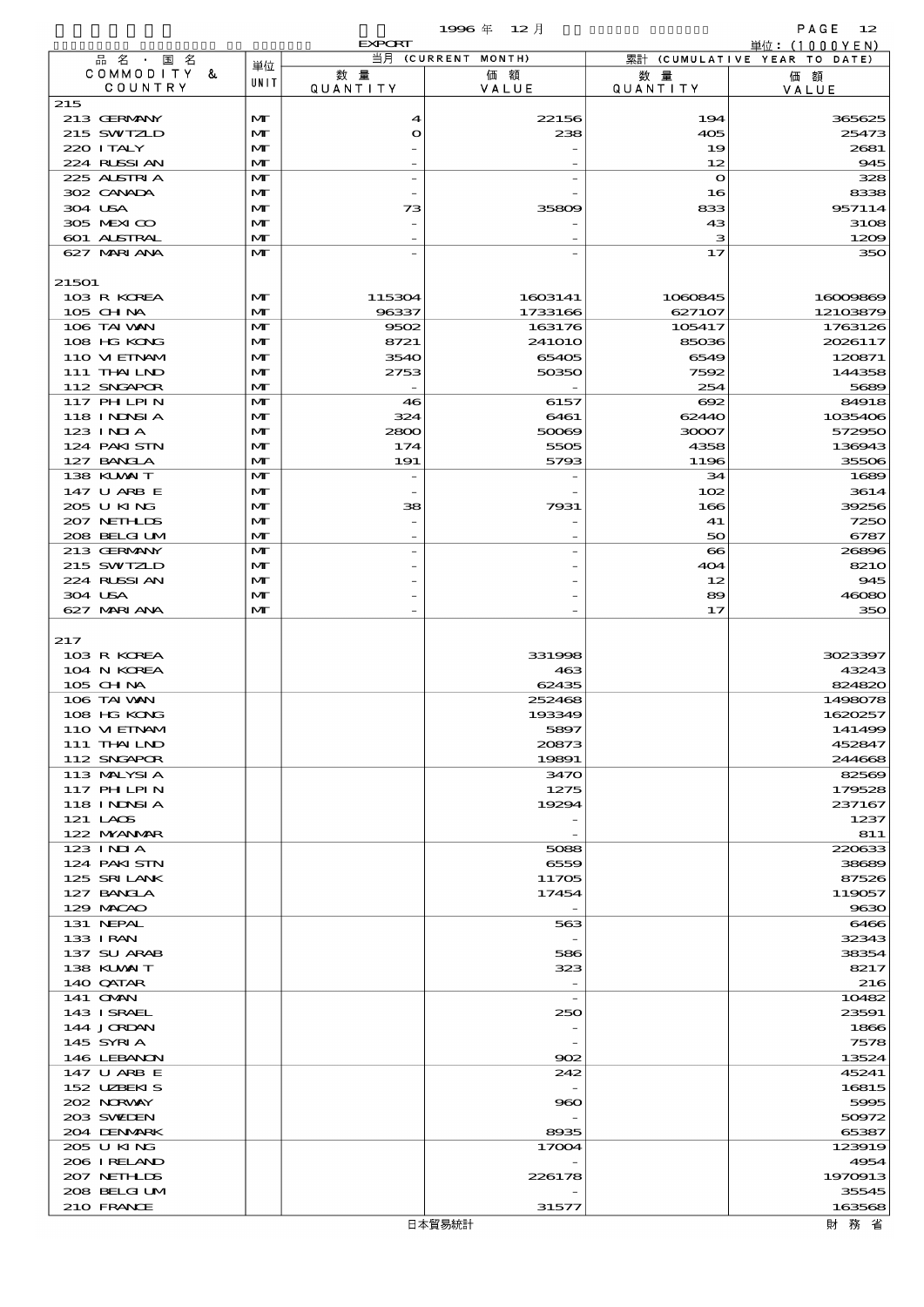$1996 \& 12 \&$ 

|                              |                   | <b>EXPORT</b>  |                    |                        | 単位: (1000 Y E N)             |
|------------------------------|-------------------|----------------|--------------------|------------------------|------------------------------|
| 品名・国名                        | 単位                |                | 当月 (CURRENT MONTH) |                        | 累計 (CUMULATIVE YEAR TO DATE) |
| COMMODITY &<br>COUNTRY       | UNIT              | 数量<br>QUANTITY | 価額<br>VALUE        | 数 量<br><b>QUANTITY</b> | 価額<br>VALUE                  |
| 215                          |                   |                |                    |                        |                              |
| 213 GERMANY                  | M                 | 4              | 22156              | 194                    | 365625                       |
| 215 SWIZLD                   | M                 | O              | 238                | 405                    | 25473                        |
| 220 I TALY<br>224 RUSSIAN    | $\mathbf{M}$<br>M |                |                    | 19<br>12               | 2681                         |
| 225 ALSTRIA                  | $\mathbf{M}$      |                |                    | $\mathbf o$            | 945<br>328                   |
| 302 CANADA                   | M                 |                |                    | 16                     | 8338                         |
| 304 USA                      | $\mathbf{M}$      | 73             | 35809              | 833                    | 957114                       |
| 305 MEXICO                   | M                 |                |                    | 43                     | 3108                         |
| <b>601 ALSTRAL</b>           | $\mathbf{M}$      |                |                    | з                      | 1209                         |
| 627 MARI ANA                 | $\mathbf{M}$      |                |                    | 17                     | 350                          |
|                              |                   |                |                    |                        |                              |
| 21501<br>103 R KOREA         | M                 | 115304         | 1603141            | 1060845                | 16009869                     |
| $105$ CHNA                   | $\mathbf{M}$      | 96337          | 1733166            | 627107                 | 12103879                     |
| 106 TAI VAN                  | $\mathbf{M}$      | 9502           | 163176             | 105417                 | 1763126                      |
| 108 HG KONG                  | M                 | 8721           | <b>241010</b>      | 85036                  | 2026117                      |
| 110 VIEINAM                  | $\mathbf{M}$      | 3540           | 65405              | 6549                   | 120871                       |
| 111 THAILND                  | M                 | 2753           | 50350              | 7592                   | 144358                       |
| 112 SNGAPOR                  | M                 |                |                    | 254                    | 5689                         |
| 117 PH LPIN                  | $\mathbf{M}$      | 46             | 6157               | $\infty$               | 84918                        |
| 118 I NJNSI A<br>$123$ INIA  | M<br>$\mathbf{M}$ | 324<br>2800    | 6461<br>50069      | 62440<br>30007         | 1035406<br>572950            |
| 124 PAKISTN                  | M                 | 174            | 5505               | 4358                   | 136943                       |
| 127 BANCLA                   | $\mathbf{M}$      | 191            | 5793               | 1196                   | 35506                        |
| 138 KUWAIT                   | $\mathbf{M}$      |                |                    | 34                     | 1689                         |
| 147 U ARB E                  | M                 |                |                    | 102                    | 3614                         |
| 205 U KING                   | $\mathbf{M}$      | 38             | 7931               | 166                    | 39256                        |
| 207 NETHLIS                  | M                 |                |                    | 41                     | 7250                         |
| 208 BELGI UM                 | $\mathbf{M}$      |                |                    | 50                     | 6787                         |
| 213 GERMANY<br>215 SWIZLD    | $\mathbf{M}$<br>M |                |                    | $\bf{8}$<br>404        | 26896<br><b>8210</b>         |
| 224 RUSSI AN                 | $\mathbf{M}$      |                |                    | 12                     | 945                          |
| 304 USA                      | M                 |                |                    | 89                     | 46080                        |
| 627 MARIANA                  | $\mathbf{M}$      |                |                    | 17                     | 350                          |
|                              |                   |                |                    |                        |                              |
| 217                          |                   |                |                    |                        |                              |
| 103 R KOREA                  |                   |                | 331998             |                        | 3023397                      |
| 104 N KOREA<br>105 CHNA      |                   |                | 463<br>62435       |                        | 43243<br>824820              |
| 106 TAI VAN                  |                   |                | 252468             |                        | 1498078                      |
| 108 HG KONG                  |                   |                | 193349             |                        | 1620257                      |
| 110 VIEINAM                  |                   |                | 5897               |                        | 141499                       |
| 111 THAILND                  |                   |                | 20873              |                        | 452847                       |
| 112 SNGAPOR                  |                   |                | 19891              |                        | 244668                       |
| 113 MALYSIA                  |                   |                | 3470               |                        | 82569                        |
| 117 PH LPIN<br>118 I NJNSI A |                   |                | 1275<br>19294      |                        | 179528<br>237167             |
| 121 LACS                     |                   |                |                    |                        | 1237                         |
| 122 NYANAR                   |                   |                |                    |                        | 811                          |
| $123$ INIA                   |                   |                | 5088               |                        | 220633                       |
| 124 PAKISTN                  |                   |                | 6559               |                        | 38689                        |
| 125 SRILANK                  |                   |                | 11705              |                        | 87526                        |
| 127 BANCLA                   |                   |                | 17454              |                        | 119057                       |
| 129 MACAO                    |                   |                |                    |                        | 9630<br>6466                 |
| 131 NEPAL<br>133 I RAN       |                   |                | 563                |                        | 32343                        |
| 137 SU ARAB                  |                   |                | 586                |                        | 38354                        |
| 138 KUWAIT                   |                   |                | 323                |                        | 8217                         |
| 140 QATAR                    |                   |                |                    |                        | 216                          |
| 141 OMN                      |                   |                | $\overline{a}$     |                        | 10482                        |
| 143 ISRAEL                   |                   |                | 250                |                        | 23591                        |
| 144 JORDAN                   |                   |                |                    |                        | 1866                         |
| 145 SYRIA<br>146 LEBANON     |                   |                | $\infty$           |                        | 7578<br>13524                |
| 147 U ARB E                  |                   |                | 242                |                        | 45241                        |
| 152 UZBEKIS                  |                   |                |                    |                        | 16815                        |
| 202 NORVAY                   |                   |                | 960                |                        | 5995                         |
| 203 SWIDEN                   |                   |                |                    |                        | 50972                        |
| 204 DENMARK                  |                   |                | 8935               |                        | 65387                        |
| 205 U KING                   |                   |                | 17004              |                        | 123919                       |
| 206 IRELAND                  |                   |                |                    |                        | 4954                         |
| 207 NETH LIS                 |                   |                | 226178             |                        | 1970913<br>35545             |
| 208 BELGI UM<br>210 FRANCE   |                   |                | 31577              |                        | 163568                       |
|                              |                   |                |                    |                        |                              |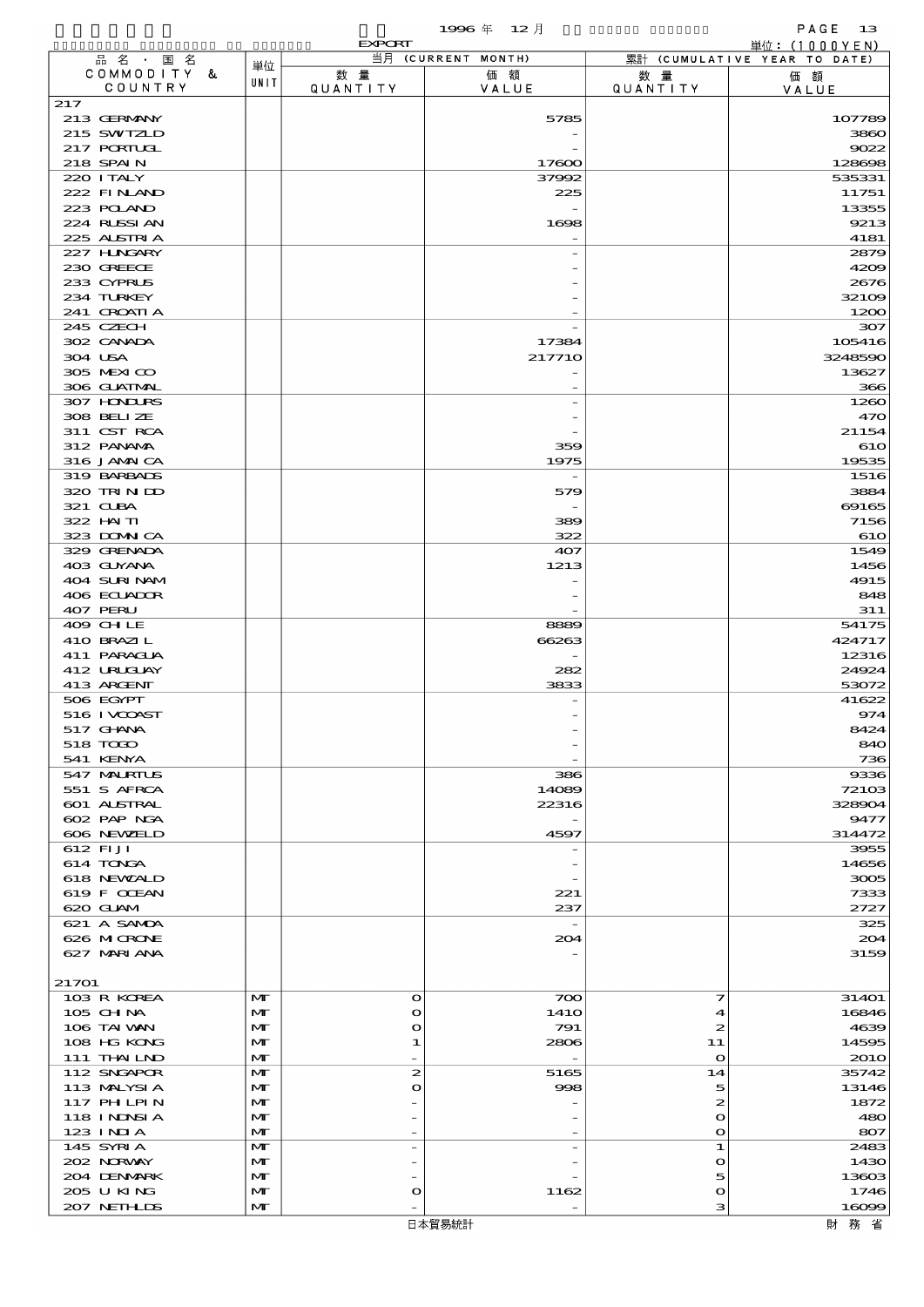$1996 \& 12 \&$ 

|                            |                              | <b>EXPORT</b>     |                    |                        | 単位: $(1000YEN)$              |
|----------------------------|------------------------------|-------------------|--------------------|------------------------|------------------------------|
| 品名・国名                      | 単位                           |                   | 当月 (CURRENT MONTH) |                        | 累計 (CUMULATIVE YEAR TO DATE) |
| COMMODITY &<br>COUNTRY     | UNIT                         | 数量<br>QUANTITY    | 価額<br>VALUE        | 数 量<br><b>QUANTITY</b> | 価額<br>VALUE                  |
| 217                        |                              |                   |                    |                        |                              |
| 213 GERMANY                |                              |                   | 5785               |                        | 107789                       |
| 215 SWIZLD<br>217 PORTUGL  |                              |                   |                    |                        | 3860<br>9022                 |
| 218 SPAIN                  |                              |                   | 17600              |                        | 128698                       |
| 220 I TALY                 |                              |                   | 37992              |                        | 535331                       |
| 222 FINAND                 |                              |                   | 225                |                        | 11751                        |
| 223 POLAND                 |                              |                   |                    |                        | 13355                        |
| 224 RUSSIAN<br>225 ALSTRIA |                              |                   | 1608               |                        | 9213<br>4181                 |
| 227 H.NGARY                |                              |                   |                    |                        | 2879                         |
| 230 GREECE                 |                              |                   |                    |                        | 4209                         |
| 233 CYPRUS                 |                              |                   |                    |                        | 2676                         |
| 234 TURKEY<br>241 CROATIA  |                              |                   |                    |                        | 32109<br>1200                |
| 245 CZECH                  |                              |                   |                    |                        | 307                          |
| 302 CANADA                 |                              |                   | 17384              |                        | 105416                       |
| 304 USA                    |                              |                   | 217710             |                        | 3248590                      |
| 305 MEXICO<br>306 GUATMAL  |                              |                   |                    |                        | 13627<br>366                 |
| 307 HONDURS                |                              |                   |                    |                        | 1260                         |
| 308 BELIZE                 |                              |                   |                    |                        | 470                          |
| 311 CST RCA                |                              |                   |                    |                        | 21154                        |
| 312 PANAMA<br>316 JAMAICA  |                              |                   | 359<br>1975        |                        | <b>61O</b><br>19535          |
| 319 BARBADS                |                              |                   |                    |                        | 1516                         |
| 320 TRIN ID                |                              |                   | 579                |                        | 3884                         |
| 321 CLBA                   |                              |                   |                    |                        | 69165                        |
| 322 HAITI                  |                              |                   | 389<br>322         |                        | 7156                         |
| 323 DOMNICA<br>329 GRENADA |                              |                   | 407                |                        | <b>61O</b><br>1549           |
| 403 GUYANA                 |                              |                   | 1213               |                        | 1456                         |
| 404 SURINAM                |                              |                   |                    |                        | 4915                         |
| 406 ECUADOR                |                              |                   |                    |                        | 848                          |
| 407 PERU<br>409 CHLE       |                              |                   | 8889               |                        | 311<br>54175                 |
| 410 BRAZIL                 |                              |                   | 66263              |                        | 424717                       |
| 411 PARAGUA                |                              |                   |                    |                        | 12316                        |
| 412 URUGUAY                |                              |                   | 282                |                        | 24924                        |
| 413 ARGENT<br>506 EGYPT    |                              |                   | 3833               |                        | 53072<br>41622               |
| 516 I VCOAST               |                              |                   |                    |                        | 974                          |
| 517 GHANA                  |                              |                   |                    |                        | 8424                         |
| 518 TOGO                   |                              |                   |                    |                        | 840                          |
| 541 KENYA<br>547 MALRIUS   |                              |                   | 386                |                        | 736<br>9336                  |
| 551 S AFRCA                |                              |                   | 14089              |                        | 72103                        |
| 601 ALSTRAL                |                              |                   | 22316              |                        | 328904                       |
| 602 PAP NGA                |                              |                   |                    |                        | 9477                         |
| 606 NEWELD<br>612 FIJI     |                              |                   | 4597               |                        | 314472<br>3955               |
| 614 TONGA                  |                              |                   |                    |                        | 14656                        |
| 618 NEWALD                 |                              |                   |                    |                        | 3005                         |
| 619 F CCEAN                |                              |                   | 221                |                        | 7333                         |
| 620 GLAM<br>621 A SAMDA    |                              |                   | 237                |                        | 2727<br>325                  |
| 626 MCRONE                 |                              |                   | 204                |                        | 204                          |
| 627 MARIANA                |                              |                   |                    |                        | 3159                         |
|                            |                              |                   |                    |                        |                              |
| 21701<br>103 R KOREA       | $\mathbf{M}$                 | $\mathbf{\Omega}$ | 700                | 7                      |                              |
| 105 CHNA                   | $\mathbf{M}$                 | $\mathbf{\Omega}$ | 141O               | 4                      | 31401<br>16846               |
| 106 TAI WAN                | M                            | O                 | 791                | 2                      | 4639                         |
| 108 HG KONG                | M                            | 1                 | 2806               | 11                     | 14595                        |
| 111 THAILND                | $\mathbf{M}$                 |                   |                    | $\Omega$               | <b>2010</b>                  |
| 112 SNGAPOR<br>113 MALYSIA | $\mathbf{M}$<br>$\mathbf{M}$ | 2<br>$\mathbf{o}$ | 5165<br>998        | 14<br>5                | 35742<br>13146               |
| 117 PH LPIN                | M                            |                   |                    | 2                      | 1872                         |
| 118 I NDSI A               | M                            |                   |                    | $\mathbf o$            | 480                          |
| 123 INIA                   | $\mathbf{M}$                 |                   |                    | $\mathbf{\Omega}$      | 807                          |
| 145 SYRIA<br>202 NORWAY    | $\mathbf{M}$<br>M            | $\overline{a}$    |                    | 1<br>$\bullet$         | 2483<br>1430                 |
| 204 DENMARK                | M                            |                   |                    | 5                      | 13603                        |
| 205 U KING                 | $\mathbf{M}$                 | $\mathbf o$       | 1162               | O                      | 1746                         |
| 207 NETHLIS                | $\mathbf{M}$                 |                   |                    | з                      | 16099                        |